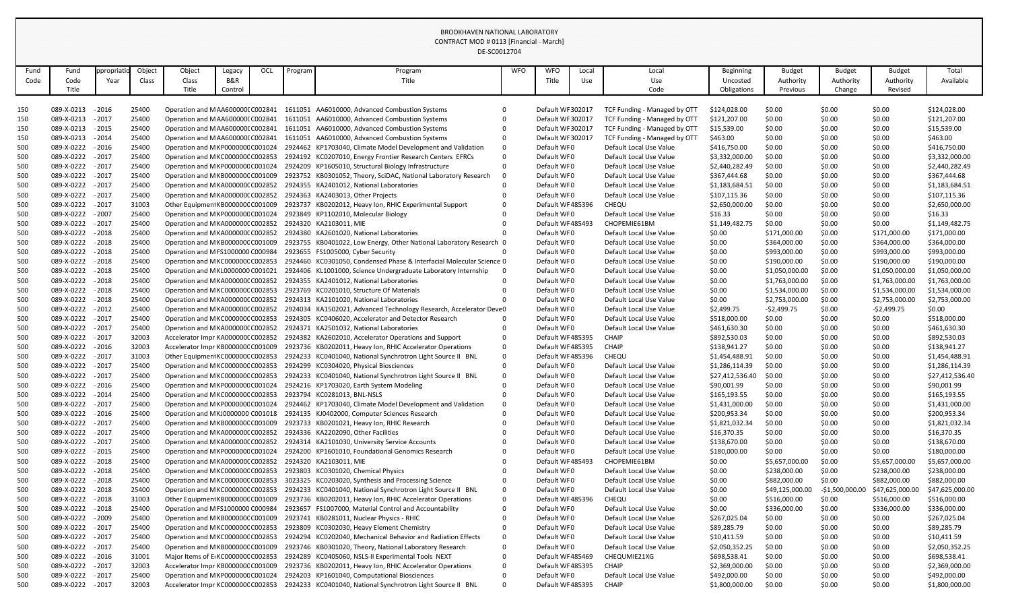|      |                                        |            |        |                                    |         |     |         | DE-SC0012704                                                         |            |                            |       |                                                    |                  |                 |                |                 |                 |
|------|----------------------------------------|------------|--------|------------------------------------|---------|-----|---------|----------------------------------------------------------------------|------------|----------------------------|-------|----------------------------------------------------|------------------|-----------------|----------------|-----------------|-----------------|
| Fund | Fund                                   | ppropriati | Object | Object                             | Legacy  | OCL | Program | Program                                                              | <b>WFO</b> | <b>WFO</b>                 | Local | Local                                              | <b>Beginning</b> | <b>Budget</b>   | <b>Budget</b>  | <b>Budget</b>   | Total           |
| Code | Code                                   | Year       | Class  | Class                              | B&R     |     |         | Title                                                                |            | Title                      | Use   | Use                                                | Uncosted         | Authority       | Authority      | Authority       | Available       |
|      | Title                                  |            |        | Title                              | Control |     |         |                                                                      |            |                            |       | Code                                               | Obligations      | Previous        | Change         | Revised         |                 |
|      |                                        |            |        |                                    |         |     |         |                                                                      |            |                            |       |                                                    |                  |                 |                |                 |                 |
| 150  | 089-X-0213                             | $-2016$    | 25400  | Operation and MAA600000 C002841    |         |     |         | 1611051 AA6010000, Advanced Combustion Systems                       |            | Default WF 302017          |       | TCF Funding - Managed by OTT                       | \$124,028.00     | \$0.00          | \$0.00         | \$0.00          | \$124,028.00    |
| 150  | 089-X-0213 - 2017                      |            | 25400  | Operation and MAA6000000 C002841   |         |     |         | 1611051 AA6010000, Advanced Combustion Systems                       |            | Default WF 302017          |       | TCF Funding - Managed by OTT                       | \$121,207.00     | \$0.00          | \$0.00         | \$0.00          | \$121,207.00    |
| 150  | 089-X-0213 - 2015                      |            | 25400  | Operation and MAA6000000 C002841   |         |     |         | 1611051 AA6010000, Advanced Combustion Systems                       |            | Default WF 302017          |       | TCF Funding - Managed by OTT                       | \$15,539.00      | \$0.00          | \$0.00         | \$0.00          | \$15,539.00     |
| 150  | 089-X-0213 - 2014                      |            | 25400  | Operation and MAA6000000 C002841   |         |     |         | 1611051 AA6010000, Advanced Combustion Systems                       |            | Default WF 302017          |       | TCF Funding - Managed by OTT                       | \$463.00         | \$0.00          | \$0.00         | \$0.00          | \$463.00        |
| 500  | 089-X-0222                             | $-2016$    | 25400  | Operation and MKP000000CC001024    |         |     |         | 2924462 KP1703040, Climate Model Development and Validation          |            | Default WF0                |       | Default Local Use Value                            | \$416,750.00     | \$0.00          | \$0.00         | \$0.00          | \$416,750.00    |
| 500  | 089-X-0222 - 2017                      |            | 25400  | Operation and MKC000000CC002853    |         |     |         | 2924192 KC0207010, Energy Frontier Research Centers EFRCs            |            | Default WF0                |       | Default Local Use Value                            | \$3,332,000.00   | \$0.00          | \$0.00         | \$0.00          | \$3,332,000.00  |
| 500  | 089-X-0222 - 2017                      |            | 25400  | Operation and MKP000000CC001024    |         |     |         | 2924209 KP1605010, Structural Biology Infrastructure                 |            | Default WF0                |       | Default Local Use Value                            | \$2,440,282.49   | \$0.00          | \$0.00         | \$0.00          | \$2,440,282.49  |
| 500  | 089-X-0222                             | $-2017$    | 25400  | Operation and MKB000000CC001009    |         |     |         | 2923752 KB0301052, Theory, SciDAC, National Laboratory Research      |            | Default WF0                |       | Default Local Use Value                            | \$367,444.68     | \$0.00          | \$0.00         | \$0.00          | \$367,444.68    |
| 500  | 089-X-0222                             | $-2017$    | 25400  | Operation and MKA000000CC002852    |         |     |         | 2924355 KA2401012, National Laboratories                             |            | Default WF0                |       | Default Local Use Value                            | \$1,183,684.51   | \$0.00          | \$0.00         | \$0.00          | \$1,183,684.51  |
| 500  | 089-X-0222 - 2017                      |            | 25400  | Operation and MKA000000CC002852    |         |     |         | 2924363 KA2403013, Other Projects                                    |            | Default WF0                |       | Default Local Use Value                            | \$107,115.36     | \$0.00          | \$0.00         | \$0.00          | \$107,115.36    |
| 500  | 089-X-0222 - 2017                      |            | 31003  | Other Equipment KB000000C C001009  |         |     |         | 2923737 KB0202012, Heavy Ion, RHIC Experimental Support              |            | Default WF485396           |       | CHEQU                                              | \$2,650,000.00   | \$0.00          | \$0.00         | \$0.00          | \$2,650,000.00  |
| 500  | 089-X-0222 - 2007                      |            | 25400  | Operation and MKP000000CC001024    |         |     |         | 2923849 KP1102010, Molecular Biology                                 |            | Default WF0                |       | Default Local Use Value                            | \$16.33          | \$0.00          | \$0.00         | \$0.00          | \$16.33         |
| 500  | 089-X-0222 - 2017                      |            | 25400  | Operation and MKA000000CC002852    |         |     |         | 2924320 KA2103011, MIE                                               |            | Default WF 485493          |       | CHOPEMIE61BM                                       | \$1,149,482.75   | \$0.00          | \$0.00         | \$0.00          | \$1,149,482.75  |
| 500  | 089-X-0222                             | $-2018$    | 25400  | Operation and MKA000000CC002852    |         |     |         | 2924380 KA2601020, National Laboratories                             |            | Default WF0                |       | Default Local Use Value                            | \$0.00           | \$171,000.00    | \$0.00         | \$171,000.00    | \$171,000.00    |
| 500  | 089-X-0222 - 2018                      |            | 25400  | Operation and MKB000000CC001009    |         |     |         | 2923755 KB0401022, Low Energy, Other National Laboratory Research 0  |            | Default WF0                |       | Default Local Use Value                            | \$0.00           | \$364,000.00    | \$0.00         | \$364,000.00    | \$364,000.00    |
| 500  | 089-X-0222 - 2018                      |            | 25400  | Operation and MFS1000000 C000984   |         |     |         | 2923655 FS1005000, Cyber Security                                    |            | Default WF0                |       | Default Local Use Value                            | \$0.00           | \$993,000.00    | \$0.00         | \$993,000.00    | \$993,000.00    |
| 500  | 089-X-0222                             | $-2018$    | 25400  | Operation and MKC000000CC002853    |         |     |         | 2924460 KC0301050, Condensed Phase & Interfacial Molecular Science 0 |            | Default WF0                |       | Default Local Use Value                            | \$0.00           | \$190,000.00    | \$0.00         | \$190,000.00    | \$190,000.00    |
| 500  | 089-X-0222 - 2018                      |            | 25400  | Operation and MKL0000000 C001021   |         |     |         | 2924406 KL1001000, Science Undergraduate Laboratory Internship       |            | Default WF0                |       | Default Local Use Value                            | \$0.00           | \$1,050,000.00  | \$0.00         | \$1,050,000.00  | \$1,050,000.00  |
| 500  | 089-X-0222 - 2018                      |            | 25400  | Operation and MKA000000CC002852    |         |     |         | 2924355 KA2401012, National Laboratories                             |            | Default WF0                |       | Default Local Use Value                            | \$0.00           | \$1,763,000.00  | \$0.00         | \$1,763,000.00  | \$1,763,000.00  |
| 500  | 089-X-0222 - 2018                      |            | 25400  | Operation and MKC000000CC002853    |         |     |         | 2923769 KC0201010, Structure Of Materials                            |            | Default WF0                |       | Default Local Use Value                            | \$0.00           | \$1,534,000.00  | \$0.00         | \$1,534,000.00  | \$1,534,000.00  |
| 500  | 089-X-0222 - 2018                      |            | 25400  | Operation and MKA000000CC002852    |         |     |         | 2924313 KA2101020, National Laboratories                             |            | Default WF0                |       | Default Local Use Value                            | \$0.00           | \$2,753,000.00  | \$0.00         | \$2,753,000.00  | \$2,753,000.00  |
| 500  | 089-X-0222                             | $-2012$    | 25400  | Operation and MKA000000CC002852    |         |     |         | 2924034 KA1502021, Advanced Technology Research, Accelerator Deve 0  |            | Default WF0                |       | Default Local Use Value                            | \$2,499.75       | $-52,499.75$    | \$0.00         | $-52,499.75$    | \$0.00          |
| 500  | 089-X-0222 - 2017                      |            | 25400  | Operation and MKC000000CC002853    |         |     |         | 2924305 KC0406020, Accelerator and Detector Research                 |            | Default WF0                |       | Default Local Use Value                            | \$518,000.00     | \$0.00          | \$0.00         | \$0.00          | \$518,000.00    |
| 500  | 089-X-0222 - 2017                      |            | 25400  | Operation and MKA000000CC002852    |         |     |         | 2924371 KA2501032, National Laboratories                             |            | Default WF0                |       | Default Local Use Value                            | \$461,630.30     | \$0.00          | \$0.00         | \$0.00          | \$461,630.30    |
| 500  | 089-X-0222                             | $-2017$    | 32003  | Accelerator Impr KA000000CC002852  |         |     |         | 2924382 KA2602010, Accelerator Operations and Support                |            | Default WF485395           |       | <b>CHAIP</b>                                       | \$892,530.03     | \$0.00          | \$0.00         | \$0.00          | \$892,530.03    |
| 500  | 089-X-0222                             | $-2016$    | 32003  | Accelerator Impr KB000000CC001009  |         |     |         | 2923736 KB0202011, Heavy Ion, RHIC Accelerator Operations            |            | Default WF 485395          |       | <b>CHAIP</b>                                       | \$138,941.27     | \$0.00          | \$0.00         | \$0.00          | \$138,941.27    |
| 500  | 089-X-0222 - 2017                      |            | 31003  | Other Equipment KC000000C C002853  |         |     |         | 2924233 KC0401040, National Synchrotron Light Source II BNL          |            | Default WF485396           |       | CHEQU                                              | \$1,454,488.91   | \$0.00          | \$0.00         | \$0.00          | \$1,454,488.91  |
| 500  | 089-X-0222 - 2017                      |            | 25400  | Operation and MKC000000CC002853    |         |     |         | 2924299 KC0304020, Physical Biosciences                              |            | Default WF0                |       | Default Local Use Value                            | \$1,286,114.39   | \$0.00          | \$0.00         | \$0.00          | \$1,286,114.39  |
| 500  | 089-X-0222 - 2017                      |            | 25400  | Operation and MKC000000CC002853    |         |     |         | 2924233 KC0401040, National Synchrotron Light Source II BNL          |            | Default WF0                |       | Default Local Use Value                            | \$27,412,536.40  | \$0.00          | \$0.00         | \$0.00          | \$27,412,536.40 |
| 500  | 089-X-0222 - 2016                      |            | 25400  | Operation and MKP000000CC001024    |         |     |         | 2924216 KP1703020, Earth System Modeling                             |            | Default WF0                |       | Default Local Use Value                            | \$90,001.99      | \$0.00          | \$0.00         | \$0.00          | \$90,001.99     |
| 500  | 089-X-0222 - 2014                      |            | 25400  | Operation and MKC000000CC002853    |         |     |         | 2923794 KC0281013, BNL-NSLS                                          |            | Default WF0                |       | Default Local Use Value                            | \$165,193.55     | \$0.00          | \$0.00         | \$0.00          | \$165,193.55    |
| 500  | 089-X-0222 - 2017                      |            | 25400  | Operation and MKP000000CC001024    |         |     |         | 2924462 KP1703040, Climate Model Development and Validation          |            | Default WF0                |       | Default Local Use Value                            | \$1,431,000.00   | \$0.00          | \$0.00         | \$0.00          | \$1,431,000.00  |
|      | 089-X-0222 - 2016                      |            | 25400  | Operation and MKJ0000000 C001018   |         |     |         | 2924135 KJ0402000, Computer Sciences Research                        |            | Default WF0                |       | Default Local Use Value                            | \$200,953.34     |                 |                |                 | \$200,953.34    |
| 500  |                                        |            |        |                                    |         |     |         |                                                                      |            |                            |       |                                                    |                  | \$0.00          | \$0.00         | \$0.00          |                 |
| 500  | 089-X-0222 - 2017<br>089-X-0222 - 2017 |            | 25400  | Operation and MKB000000CC001009    |         |     |         | 2923733 KB0201021, Heavy Ion, RHIC Research                          |            | Default WF0<br>Default WF0 |       | Default Local Use Value<br>Default Local Use Value | \$1,821,032.34   | \$0.00          | \$0.00         | \$0.00          | \$1,821,032.34  |
| 500  |                                        |            | 25400  | Operation and MKA000000CC002852    |         |     |         | 2924336 KA2202090, Other Facilities                                  |            |                            |       |                                                    | \$16,370.35      | \$0.00          | \$0.00         | \$0.00          | \$16,370.35     |
| 500  | 089-X-0222 - 2017                      |            | 25400  | Operation and MKA000000CC002852    |         |     |         | 2924314 KA2101030, University Service Accounts                       |            | Default WF0                |       | Default Local Use Value                            | \$138,670.00     | \$0.00          | \$0.00         | \$0.00          | \$138,670.00    |
| 500  | 089-X-0222 - 2015                      |            | 25400  | Operation and MKP000000CC001024    |         |     |         | 2924200 KP1601010, Foundational Genomics Research                    |            | Default WF0                |       | Default Local Use Value                            | \$180,000.00     | \$0.00          | \$0.00         | \$0.00          | \$180,000.00    |
| 500  | 089-X-0222 - 2018                      |            | 25400  | Operation and MKA000000CC002852    |         |     |         | 2924320 KA2103011, MIE                                               |            | Default WF485493           |       | CHOPEMIE61BM                                       | \$0.00           | \$5,657,000.00  | \$0.00         | \$5,657,000.00  | \$5,657,000.00  |
| 500  | 089-X-0222 - 2018                      |            | 25400  | Operation and MKC000000CC002853    |         |     |         | 2923803 KC0301020, Chemical Physics                                  |            | Default WF0                |       | Default Local Use Value                            | \$0.00           | \$238,000.00    | \$0.00         | \$238,000.00    | \$238,000.00    |
| 500  | 089-X-0222 - 2018                      |            | 25400  | Operation and MKC000000CC002853    |         |     |         | 3023325 KC0203020, Synthesis and Processing Science                  |            | Default WF0                |       | Default Local Use Value                            | \$0.00           | \$882,000.00    | \$0.00         | \$882,000.00    | \$882,000.00    |
| 500  | 089-X-0222 - 2018                      |            | 25400  | Operation and MKC000000CC002853    |         |     |         | 2924233 KC0401040, National Synchrotron Light Source II BNL          |            | Default WF0                |       | Default Local Use Value                            | \$0.00           | \$49,125,000.00 | $-51,500,000.$ | \$47,625,000.00 | \$47,625,000.00 |
| 500  | 089-X-0222 - 2018                      |            | 31003  | Other Equipment KB000000C C001009  |         |     |         | 2923736 KB0202011, Heavy Ion, RHIC Accelerator Operations            |            | Default WF485396           |       | CHEQU                                              | \$0.00           | \$516,000.00    | \$0.00         | \$516,000.00    | \$516,000.00    |
| 500  | 089-X-0222 - 2018                      |            | 25400  | Operation and MFS1000000 C000984   |         |     |         | 2923657 FS1007000, Material Control and Accountability               |            | Default WF0                |       | Default Local Use Value                            | \$0.00           | \$336,000.00    | \$0.00         | \$336,000.00    | \$336,000.00    |
| 500  | 089-X-0222 - 2009                      |            | 25400  | Operation and MKB000000CC001009    |         |     |         | 2923741 KB0281011, Nuclear Physics - RHIC                            |            | Default WF0                |       | Default Local Use Value                            | \$267,025.04     | \$0.00          | \$0.00         | \$0.00          | \$267,025.04    |
| 500  | 089-X-0222 - 2017                      |            | 25400  | Operation and MKC000000CC002853    |         |     |         | 2923809 KC0302030, Heavy Element Chemistry                           |            | Default WF0                |       | Default Local Use Value                            | \$89,285.79      | \$0.00          | \$0.00         | \$0.00          | \$89,285.79     |
| 500  | 089-X-0222 - 2017                      |            | 25400  | Operation and MKC000000CC002853    |         |     |         | 2924294 KC0202040, Mechanical Behavior and Radiation Effects         |            | Default WF0                |       | Default Local Use Value                            | \$10,411.59      | \$0.00          | \$0.00         | \$0.00          | \$10,411.59     |
| 500  | 089-X-0222 - 2017                      |            | 25400  | Operation and MKB000000CC001009    |         |     |         | 2923746 KB0301020, Theory, National Laboratory Research              |            | Default WF0                |       | Default Local Use Value                            | \$2,050,352.25   | \$0.00          | \$0.00         | \$0.00          | \$2,050,352.25  |
| 500  | 089-X-0222 - 2016                      |            | 31001  | Major Items of ErKC000000CC002853  |         |     |         | 2924289 KC0405060, NSLS-II Experimental Tools NEXT                   |            | Default WF485469           |       | CHEQUMIE21XG                                       | \$698,538.41     | \$0.00          | \$0.00         | \$0.00          | \$698,538.41    |
| 500  | 089-X-0222 - 2017                      |            | 32003  | Accelerator Impr KB000000C C001009 |         |     |         | 2923736 KB0202011, Heavy Ion, RHIC Accelerator Operations            |            | Default WF485395           |       | <b>CHAIP</b>                                       | \$2,369,000.00   | \$0.00          | \$0.00         | \$0.00          | \$2,369,000.00  |
| 500  | 089-X-0222 - 2017                      |            | 25400  | Operation and MKP000000CC001024    |         |     |         | 2924203 KP1601040, Computational Biosciences                         |            | Default WF0                |       | Default Local Use Value                            | \$492,000.00     | \$0.00          | \$0.00         | \$0.00          | \$492,000.00    |
| 500  | 089-X-0222 - 2017                      |            | 32003  | Accelerator Impr KC000000CC002853  |         |     |         | 2924233 KC0401040, National Synchrotron Light Source II BNL          |            | Default WF485395           |       | <b>CHAIP</b>                                       | \$1,800,000.00   | \$0.00          | \$0.00         | \$0.00          | \$1,800,000.00  |

## BROOKHAVEN NATIONAL LABORATORY CONTRACT MOD # 0113 [Financial - March]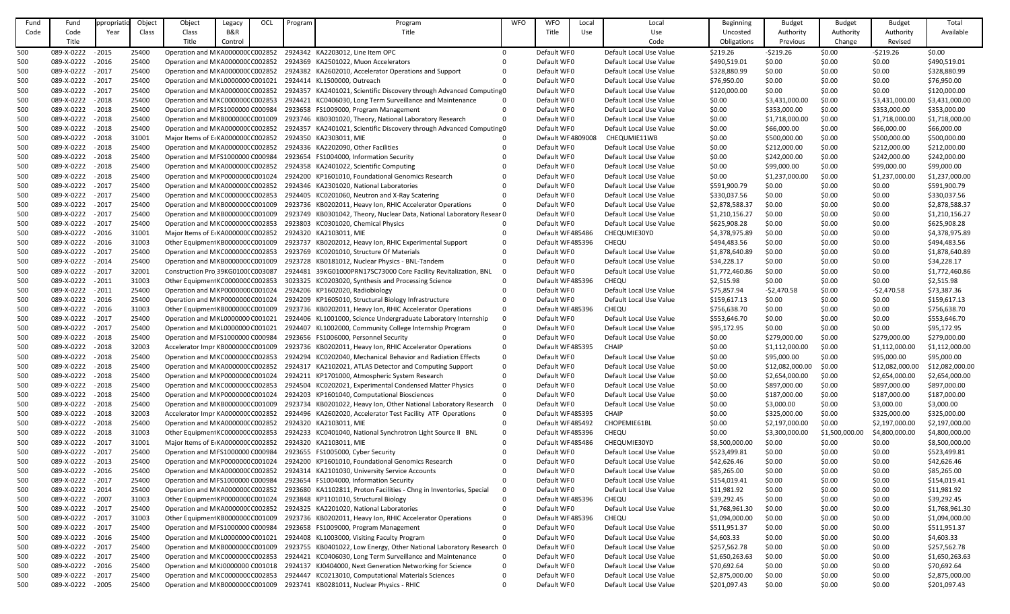| Fund | Fund              | ppropriat | Object | Object                             | Legacy  | OCL | Program | Program                                                                                         | <b>WFO</b> | <b>WFO</b>         | Local | Local                   | <b>Beginning</b> | <b>Budget</b>   | <b>Budget</b>  | <b>Budget</b>   | Total           |
|------|-------------------|-----------|--------|------------------------------------|---------|-----|---------|-------------------------------------------------------------------------------------------------|------------|--------------------|-------|-------------------------|------------------|-----------------|----------------|-----------------|-----------------|
| Code | Code              | Year      | Class  | Class                              | B&R     |     |         | Title                                                                                           |            | Title              | Use   | Use                     | Uncosted         | Authority       | Authority      | Authority       | Available       |
|      | Title             |           |        | Title                              | Control |     |         |                                                                                                 |            |                    |       | Code                    | Obligations      | Previous        | Change         | Revised         |                 |
| 500  | 089-X-0222        | $-2015$   | 25400  | Operation and MKA000000CC002852    |         |     |         | 2924342 KA2203012, Line Item OPC                                                                | $\Omega$   | Default WF0        |       | Default Local Use Value | \$219.26         | $-5219.26$      | \$0.00         | $-5219.26$      | \$0.00          |
| 500  | 089-X-0222 - 2016 |           | 25400  | Operation and MKA000000CC002852    |         |     |         | 2924369 KA2501022, Muon Accelerators                                                            |            | Default WF0        |       | Default Local Use Value | \$490,519.01     | \$0.00          | \$0.00         | \$0.00          | \$490,519.01    |
| 500  | 089-X-0222 - 2017 |           | 25400  | Operation and MKA000000CC002852    |         |     |         | 2924382 KA2602010, Accelerator Operations and Support                                           |            | Default WF0        |       | Default Local Use Value | \$328,880.99     | \$0.00          | \$0.00         | \$0.00          | \$328,880.99    |
|      | 089-X-0222        | $-2017$   | 25400  | Operation and MKL0000000 C001021   |         |     |         | 2924414 KL1500000, Outreach                                                                     |            | Default WF0        |       | Default Local Use Value | \$76,950.00      | \$0.00          | \$0.00         | \$0.00          | \$76,950.00     |
| 500  | 089-X-0222        |           |        |                                    |         |     |         |                                                                                                 |            |                    |       |                         |                  |                 |                |                 |                 |
| 500  |                   | $-2017$   | 25400  | Operation and MKA000000CC002852    |         |     |         | 2924357 KA2401021, Scientific Discovery through Advanced Computing 0                            |            | Default WF0        |       | Default Local Use Value | \$120,000.00     | \$0.00          | \$0.00         | \$0.00          | \$120,000.00    |
| 500  | 089-X-0222        | $-2018$   | 25400  | Operation and MKC000000CC002853    |         |     |         | 2924421 KC0406030, Long Term Surveillance and Maintenance                                       |            | Default WF0        |       | Default Local Use Value | \$0.00           | \$3,431,000.00  | \$0.00         | \$3,431,000.00  | \$3,431,000.00  |
| 500  | 089-X-0222        | $-2018$   | 25400  | Operation and MFS1000000 C000984   |         |     |         | 2923658 FS1009000, Program Management                                                           |            | Default WF0        |       | Default Local Use Value | \$0.00           | \$353,000.00    | \$0.00         | \$353,000.00    | \$353,000.00    |
| 500  | 089-X-0222 - 2018 |           | 25400  | Operation and MKB000000CC001009    |         |     |         | 2923746 KB0301020, Theory, National Laboratory Research                                         |            | Default WF0        |       | Default Local Use Value | \$0.00           | \$1,718,000.00  | \$0.00         | \$1,718,000.00  | \$1,718,000.00  |
| 500  | 089-X-0222        | $-2018$   | 25400  | Operation and MKA000000CC002852    |         |     |         | 2924357 KA2401021, Scientific Discovery through Advanced Computing 0                            |            | Default WF0        |       | Default Local Use Value | \$0.00           | \$66,000.00     | \$0.00         | \$66,000.00     | \$66,000.00     |
| 500  | 089-X-0222        | $-2018$   | 31001  | Major Items of E KA000000C C002852 |         |     |         | 2924350 KA2303011, MIE                                                                          |            | Default WF 4809008 |       | CHEQUMIE11WB            | \$0.00           | \$500,000.00    | \$0.00         | \$500,000.00    | \$500,000.00    |
| 500  | 089-X-0222        | $-2018$   | 25400  | Operation and MKA000000CC002852    |         |     |         | 2924336 KA2202090, Other Facilities                                                             |            | Default WF0        |       | Default Local Use Value | \$0.00           | \$212,000.00    | \$0.00         | \$212,000.00    | \$212,000.00    |
| 500  | 089-X-0222        | $-2018$   | 25400  | Operation and MFS1000000 C000984   |         |     |         | 2923654 FS1004000, Information Security                                                         |            | Default WF0        |       | Default Local Use Value | \$0.00           | \$242,000.00    | \$0.00         | \$242,000.00    | \$242,000.00    |
| 500  | 089-X-0222        | $-2018$   | 25400  | Operation and MKA000000CC002852    |         |     |         | 2924358 KA2401022, Scientific Computing                                                         |            | Default WF0        |       | Default Local Use Value | \$0.00           | \$99,000.00     | \$0.00         | \$99,000.00     | \$99,000.00     |
| 500  | 089-X-0222        | $-2018$   | 25400  | Operation and MKP000000CC001024    |         |     |         | 2924200 KP1601010, Foundational Genomics Research                                               |            | Default WF0        |       | Default Local Use Value | \$0.00           | \$1,237,000.00  | \$0.00         | \$1,237,000.00  | \$1,237,000.00  |
| 500  | 089-X-0222        | $-2017$   | 25400  | Operation and MKA000000CC002852    |         |     |         | 2924346 KA2301020, National Laboratories                                                        |            | Default WF0        |       | Default Local Use Value | \$591,900.79     | \$0.00          | \$0.00         | \$0.00          | \$591,900.79    |
| 500  | 089-X-0222        | $-2017$   | 25400  | Operation and MKC000000CC002853    |         |     |         | 2924405 KC0201060, Neutron and X-Ray Scatering                                                  |            | Default WF0        |       | Default Local Use Value | \$330,037.56     | \$0.00          | \$0.00         | \$0.00          | \$330,037.56    |
| 500  | 089-X-0222        | $-2017$   | 25400  | Operation and MKB000000CC001009    |         |     |         | 2923736 KB0202011, Heavy Ion, RHIC Accelerator Operations                                       |            | Default WF0        |       | Default Local Use Value | \$2,878,588.37   | \$0.00          | \$0.00         | \$0.00          | \$2,878,588.37  |
| 500  | 089-X-0222        | $-2017$   | 25400  | Operation and MKB000000CC001009    |         |     |         | 2923749 KB0301042, Theory, Nuclear Data, National Laboratory Resear 0                           |            | Default WF0        |       | Default Local Use Value | \$1,210,156.27   | \$0.00          | \$0.00         | \$0.00          | \$1,210,156.27  |
| 500  | 089-X-0222 - 2017 |           | 25400  | Operation and MKC000000CC002853    |         |     |         | 2923803 KC0301020, Chemical Physics                                                             |            | Default WF0        |       | Default Local Use Value | \$625,908.28     | \$0.00          | \$0.00         | \$0.00          | \$625,908.28    |
| 500  | 089-X-0222        | $-2016$   | 31001  | Major Items of ErKA000000CC002852  |         |     |         | 2924320 KA2103011, MIE                                                                          |            | Default WF485486   |       | CHEQUMIE30YD            | \$4,378,975.89   | \$0.00          | \$0.00         | \$0.00          | \$4,378,975.89  |
| 500  | 089-X-0222        | $-2016$   | 31003  | Other Equipment KB000000C C001009  |         |     |         | 2923737 KB0202012, Heavy Ion, RHIC Experimental Support                                         |            | Default WF485396   |       | CHEQU                   | \$494,483.56     | \$0.00          | \$0.00         | \$0.00          | \$494,483.56    |
| 500  | 089-X-0222        | $-2017$   | 25400  | Operation and MKC000000CC002853    |         |     |         | 2923769 KC0201010, Structure Of Materials                                                       |            | Default WF0        |       | Default Local Use Value | \$1,878,640.89   | \$0.00          | \$0.00         | \$0.00          | \$1,878,640.89  |
| 500  | 089-X-0222        | $-2014$   | 25400  | Operation and MKB000000CC001009    |         |     |         | 2923728 KB0181012, Nuclear Physics - BNL-Tandem                                                 |            | Default WF0        |       | Default Local Use Value | \$34,228.17      | \$0.00          | \$0.00         | \$0.00          | \$34,228.17     |
| 500  | 089-X-0222 - 2017 |           | 32001  | Construction Pro 39KG0100(C003087  |         |     |         | 2924481 39KG01000PRN17SC73000 Core Facility Revitalization, BNL                                 |            | Default WF0        |       | Default Local Use Value | \$1,772,460.86   | \$0.00          | \$0.00         | \$0.00          | \$1,772,460.86  |
| 500  | 089-X-0222        | $-2011$   | 31003  | Other Equipment KC000000C C002853  |         |     |         | 3023325 KC0203020, Synthesis and Processing Science                                             |            | Default WF485396   |       | CHEQU                   | \$2,515.98       | \$0.00          | \$0.00         | \$0.00          | \$2,515.98      |
| 500  | 089-X-0222        | $-2011$   | 25400  | Operation and MKP000000CC001024    |         |     |         | 2924206 KP1602020, Radiobiology                                                                 |            | Default WF0        |       | Default Local Use Value | \$75,857.94      | $-52,470.58$    | \$0.00         | $-52,470.58$    | \$73,387.36     |
| 500  | 089-X-0222        | $-2016$   | 25400  | Operation and MKP000000CC001024    |         |     |         | 2924209 KP1605010, Structural Biology Infrastructure                                            |            | Default WF0        |       | Default Local Use Value | \$159,617.13     | \$0.00          | \$0.00         | \$0.00          | \$159,617.13    |
| 500  | 089-X-0222        | $-2016$   | 31003  | Other Equipment KB000000C C001009  |         |     |         | 2923736 KB0202011, Heavy Ion, RHIC Accelerator Operations                                       |            | Default WF485396   |       | CHEQU                   | \$756,638.70     | \$0.00          | \$0.00         | \$0.00          | \$756,638.70    |
| 500  | 089-X-0222 - 2017 |           | 25400  |                                    |         |     |         | Operation and MKL0000000 C001021 2924406 KL1001000, Science Undergraduate Laboratory Internship |            | Default WF0        |       | Default Local Use Value | \$553,646.70     | \$0.00          | \$0.00         | \$0.00          | \$553,646.70    |
| 500  | 089-X-0222        | $-2017$   | 25400  | Operation and MKL0000000 C001021   |         |     |         | 2924407 KL1002000, Community College Internship Program                                         |            | Default WF0        |       | Default Local Use Value | \$95,172.95      | \$0.00          | \$0.00         | \$0.00          | \$95,172.95     |
| 500  | 089-X-0222        | $-2018$   | 25400  | Operation and MFS1000000 C000984   |         |     |         | 2923656 FS1006000, Personnel Security                                                           |            | Default WF0        |       | Default Local Use Value | \$0.00           | \$279,000.00    | \$0.00         | \$279,000.00    | \$279,000.00    |
| 500  | 089-X-0222        | $-2018$   | 32003  | Accelerator Impr KB000000CC001009  |         |     |         | 2923736 KB0202011, Heavy Ion, RHIC Accelerator Operations                                       |            | Default WF485395   |       | <b>CHAIP</b>            | \$0.00           | \$1,112,000.00  | \$0.00         | \$1,112,000.00  | \$1,112,000.00  |
|      | 089-X-0222 - 2018 |           | 25400  |                                    |         |     |         | 2924294 KC0202040, Mechanical Behavior and Radiation Effects                                    |            | Default WF0        |       | Default Local Use Value |                  |                 |                |                 | \$95,000.00     |
| 500  |                   |           |        | Operation and MKC000000CC002853    |         |     |         |                                                                                                 |            |                    |       |                         | \$0.00           | \$95,000.00     | \$0.00         | \$95,000.00     |                 |
| 500  | 089-X-0222        | $-2018$   | 25400  | Operation and MKA000000CC002852    |         |     |         | 2924317 KA2102021, ATLAS Detector and Computing Support                                         |            | Default WF0        |       | Default Local Use Value | \$0.00           | \$12,082,000.00 | \$0.00         | \$12,082,000.00 | \$12,082,000.00 |
| 500  | 089-X-0222        | $-2018$   | 25400  | Operation and MKP000000CC001024    |         |     |         | 2924211 KP1701000, Atmospheric System Research                                                  |            | Default WF0        |       | Default Local Use Value | \$0.00           | \$2,654,000.00  | \$0.00         | \$2,654,000.00  | \$2,654,000.00  |
| 500  | 089-X-0222 - 2018 |           | 25400  | Operation and MKC000000CC002853    |         |     |         | 2924504 KC0202021, Experimental Condensed Matter Physics                                        |            | Default WF0        |       | Default Local Use Value | \$0.00           | \$897,000.00    | \$0.00         | \$897,000.00    | \$897,000.00    |
| 500  | 089-X-0222        | $-2018$   | 25400  | Operation and MKP000000CC001024    |         |     |         | 2924203 KP1601040, Computational Biosciences                                                    |            | Default WF0        |       | Default Local Use Value | \$0.00           | \$187,000.00    | \$0.00         | \$187,000.00    | \$187,000.00    |
| 500  | 089-X-0222        | $-2018$   | 25400  | Operation and MKB000000CC001009    |         |     |         | 2923734 KB0201022, Heavy Ion, Other National Laboratory Research                                |            | Default WF0        |       | Default Local Use Value | \$0.00           | \$3,000.00      | \$0.00         | \$3,000.00      | \$3,000.00      |
| 500  | 089-X-0222 - 2018 |           | 32003  | Accelerator Impr KA000000CC002852  |         |     |         | 2924496 KA2602020, Accelerator Test Facility ATF Operations                                     |            | Default WF485395   |       | <b>CHAIP</b>            | \$0.00           | \$325,000.00    | \$0.00         | \$325,000.00    | \$325,000.00    |
| 500  | 089-X-0222 - 2018 |           | 25400  | Operation and MKA000000CC002852    |         |     |         | 2924320 KA2103011, MIE                                                                          |            | Default WF485492   |       | CHOPEMIE61BL            | \$0.00           | \$2,197,000.00  | \$0.00         | \$2,197,000.00  | \$2,197,000.00  |
| 500  | 089-X-0222 - 2018 |           | 31003  | Other Equipment KC000000C C002853  |         |     |         | 2924233 KC0401040, National Synchrotron Light Source II BNL                                     |            | Default WF485396   |       | CHEQU                   | \$0.00           | \$3,300,000.00  | \$1,500,000.00 | \$4,800,000.00  | \$4,800,000.00  |
| 500  | 089-X-0222 - 2017 |           | 31001  | Major Items of E KA000000C C002852 |         |     |         | 2924320 KA2103011, MIE                                                                          |            | Default WF485486   |       | CHEQUMIE30YD            | \$8,500,000.00   | \$0.00          | \$0.00         | \$0.00          | \$8,500,000.00  |
| 500  | 089-X-0222        | $-2017$   | 25400  | Operation and MFS1000000 C000984   |         |     |         | 2923655 FS1005000, Cyber Security                                                               |            | Default WF0        |       | Default Local Use Value | \$523,499.81     | \$0.00          | \$0.00         | \$0.00          | \$523,499.81    |
| 500  | 089-X-0222 - 2013 |           | 25400  | Operation and MKP000000CC001024    |         |     |         | 2924200 KP1601010, Foundational Genomics Research                                               |            | Default WF0        |       | Default Local Use Value | \$42,626.46      | \$0.00          | \$0.00         | \$0.00          | \$42,626.46     |
| 500  | 089-X-0222 - 2016 |           | 25400  | Operation and MKA000000CC002852    |         |     |         | 2924314 KA2101030, University Service Accounts                                                  |            | Default WF0        |       | Default Local Use Value | \$85,265.00      | \$0.00          | \$0.00         | \$0.00          | \$85,265.00     |
| 500  | 089-X-0222        | $-2017$   | 25400  | Operation and MFS1000000 C000984   |         |     |         | 2923654 FS1004000, Information Security                                                         |            | Default WF0        |       | Default Local Use Value | \$154,019.41     | \$0.00          | \$0.00         | \$0.00          | \$154,019.41    |
| 500  | 089-X-0222 - 2014 |           | 25400  | Operation and MKA000000CC002852    |         |     |         | 2923680 KA1102811, Proton Facilities - Chng in Inventories, Special                             |            | Default WF0        |       | Default Local Use Value | \$11,981.92      | \$0.00          | \$0.00         | \$0.00          | \$11,981.92     |
| 500  | 089-X-0222        | $-2007$   | 31003  | Other Equipment KP000000C C001024  |         |     |         | 2923848 KP1101010, Structural Biology                                                           |            | Default WF485396   |       | CHEQU                   | \$39,292.45      | \$0.00          | \$0.00         | \$0.00          | \$39,292.45     |
| 500  | 089-X-0222 - 2017 |           | 25400  | Operation and MKA000000CC002852    |         |     |         | 2924325 KA2201020, National Laboratories                                                        |            | Default WF0        |       | Default Local Use Value | \$1,768,961.30   | \$0.00          | \$0.00         | \$0.00          | \$1,768,961.30  |
| 500  | 089-X-0222 - 2017 |           | 31003  | Other Equipment KB000000C C001009  |         |     |         | 2923736 KB0202011, Heavy Ion, RHIC Accelerator Operations                                       |            | Default WF 485396  |       | CHEQU                   | \$1,094,000.00   | \$0.00          | \$0.00         | \$0.00          | \$1,094,000.00  |
| 500  | 089-X-0222        | $-2017$   | 25400  | Operation and MFS1000000 C000984   |         |     |         | 2923658 FS1009000, Program Management                                                           |            | Default WF0        |       | Default Local Use Value | \$511,951.37     | \$0.00          | \$0.00         | \$0.00          | \$511,951.37    |
| 500  | 089-X-0222        | $-2016$   | 25400  | Operation and MKL0000000 C001021   |         |     |         | 2924408 KL1003000, Visiting Faculty Program                                                     |            | Default WF0        |       | Default Local Use Value | \$4,603.33       | \$0.00          | \$0.00         | \$0.00          | \$4,603.33      |
| 500  | 089-X-0222        | $-2017$   | 25400  | Operation and MKB000000CC001009    |         |     |         | 2923755 KB0401022, Low Energy, Other National Laboratory Research 0                             |            | Default WF0        |       | Default Local Use Value | \$257,562.78     | \$0.00          | \$0.00         | \$0.00          | \$257,562.78    |
| 500  | 089-X-0222        | $-2017$   | 25400  | Operation and MKC000000CC002853    |         |     |         | 2924421 KC0406030, Long Term Surveillance and Maintenance                                       | - 0        | Default WF0        |       | Default Local Use Value | \$1,650,263.63   | \$0.00          | \$0.00         | \$0.00          | \$1,650,263.63  |
| 500  | 089-X-0222        | $-2016$   | 25400  | Operation and MKJ0000000 C001018   |         |     |         | 2924137 KJ0404000, Next Generation Networking for Science                                       |            | Default WF0        |       | Default Local Use Value | \$70,692.64      | \$0.00          | \$0.00         | \$0.00          | \$70,692.64     |
| 500  | 089-X-0222        | $-2017$   | 25400  | Operation and MKC000000CC002853    |         |     |         | 2924447 KC0213010, Computational Materials Sciences                                             |            | Default WF0        |       | Default Local Use Value | \$2,875,000.00   | \$0.00          | \$0.00         | \$0.00          | \$2,875,000.00  |
| 500  | 089-X-0222        | $-2005$   | 25400  | Operation and MKB000000C C001009   |         |     |         | 2923741 KB0281011, Nuclear Physics - RHIC                                                       |            | Default WF0        |       | Default Local Use Value | \$201,097.43     | \$0.00          | \$0.00         | \$0.00          | \$201,097.43    |
|      |                   |           |        |                                    |         |     |         |                                                                                                 |            |                    |       |                         |                  |                 |                |                 |                 |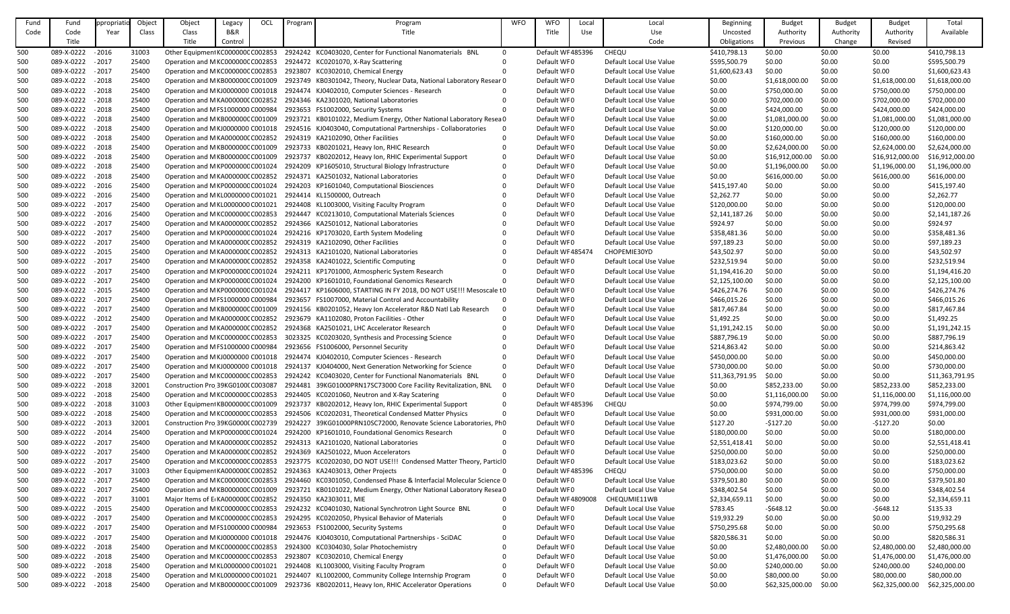| Fund | Fund              | propriat | Object | Object                            | Legacy  | OCL | Program | Program                                                                       | <b>WFO</b> | <b>WFO</b>         | Local | Local                   | <b>Beginning</b> | <b>Budget</b>   | <b>Budget</b> | <b>Budget</b>   | Total           |
|------|-------------------|----------|--------|-----------------------------------|---------|-----|---------|-------------------------------------------------------------------------------|------------|--------------------|-------|-------------------------|------------------|-----------------|---------------|-----------------|-----------------|
| Code | Code              | Year     | Class  | Class                             | B&R     |     |         | Title                                                                         |            | Title              | Use   | Use                     | Uncosted         | Authority       | Authority     | Authority       | Available       |
|      |                   |          |        |                                   |         |     |         |                                                                               |            |                    |       |                         |                  |                 |               |                 |                 |
|      | Title             |          |        | Title                             | Control |     |         |                                                                               |            |                    |       | Code                    | Obligations      | Previous        | Change        | Revised         |                 |
| 500  | 089-X-0222        | $-2016$  | 31003  | Other Equipment KC000000C C002853 |         |     |         | 2924242 KC0403020, Center for Functional Nanomaterials BNL                    | $\Omega$   | Default WF485396   |       | CHEQU                   | \$410,798.13     | \$0.00          | \$0.00        | \$0.00          | \$410,798.13    |
| 500  | 089-X-0222 - 2017 |          | 25400  | Operation and MKC000000CC002853   |         |     |         | 2924472 KC0201070, X-Ray Scattering                                           |            | Default WF0        |       | Default Local Use Value | \$595,500.79     | \$0.00          | \$0.00        | \$0.00          | \$595,500.79    |
| 500  | 089-X-0222        | $-2017$  | 25400  | Operation and MKC000000CC002853   |         |     |         | 2923807 KC0302010, Chemical Energy                                            |            | Default WF0        |       | Default Local Use Value | \$1,600,623.43   | \$0.00          | \$0.00        | \$0.00          | \$1,600,623.43  |
| 500  | 089-X-0222        | $-2018$  | 25400  | Operation and MKB000000CC001009   |         |     |         | 2923749 KB0301042, Theory, Nuclear Data, National Laboratory Resear 0         |            | Default WF0        |       | Default Local Use Value | \$0.00           | \$1,618,000.00  | \$0.00        | \$1,618,000.00  | \$1,618,000.00  |
| 500  | 089-X-0222        | $-2018$  | 25400  | Operation and MKJ0000000 C001018  |         |     |         | 2924474 KJ0402010, Computer Sciences - Research                               |            | Default WF0        |       | Default Local Use Value | \$0.00           | \$750,000.00    | \$0.00        | \$750,000.00    | \$750,000.00    |
| 500  | 089-X-0222        | $-2018$  | 25400  | Operation and MKA000000CC002852   |         |     |         | 2924346 KA2301020, National Laboratories                                      |            | Default WF0        |       | Default Local Use Value | \$0.00           | \$702,000.00    | \$0.00        | \$702,000.00    | \$702,000.00    |
|      | 089-X-0222 - 2018 |          | 25400  | Operation and MFS1000000 C000984  |         |     |         | 2923653 FS1002000, Security Systems                                           |            | Default WF0        |       | Default Local Use Value | \$0.00           | \$424,000.00    | \$0.00        | \$424,000.00    | \$424,000.00    |
| 500  |                   |          |        |                                   |         |     |         |                                                                               |            |                    |       |                         |                  |                 |               |                 |                 |
| 500  | 089-X-0222 - 2018 |          | 25400  | Operation and MKB000000CC001009   |         |     |         | 2923721 KB0101022, Medium Energy, Other National Laboratory Resea 0           |            | Default WF0        |       | Default Local Use Value | \$0.00           | \$1,081,000.00  | \$0.00        | \$1,081,000.00  | \$1,081,000.00  |
| 500  | 089-X-0222        | $-2018$  | 25400  | Operation and MKJ0000000 C001018  |         |     |         | 2924516 KJ0403040, Computational Partnerships - Collaboratories               | - 0        | Default WF0        |       | Default Local Use Value | \$0.00           | \$120,000.00    | \$0.00        | \$120,000.00    | \$120,000.00    |
| 500  | 089-X-0222        | $-2018$  | 25400  | Operation and MKA000000CC002852   |         |     |         | 2924319 KA2102090, Other Facilities                                           |            | Default WF0        |       | Default Local Use Value | \$0.00           | \$160,000.00    | \$0.00        | \$160,000.00    | \$160,000.00    |
| 500  | 089-X-0222        | $-2018$  | 25400  | Operation and MKB000000CC001009   |         |     |         | 2923733 KB0201021, Heavy Ion, RHIC Research                                   |            | Default WF0        |       | Default Local Use Value | \$0.00           | \$2,624,000.00  | \$0.00        | \$2,624,000.00  | \$2,624,000.00  |
| 500  | 089-X-0222        | $-2018$  | 25400  | Operation and MKB000000CC001009   |         |     |         | 2923737 KB0202012, Heavy Ion, RHIC Experimental Support                       |            | Default WF0        |       | Default Local Use Value | \$0.00           | \$16,912,000.00 | \$0.00        | \$16,912,000.00 | \$16,912,000.00 |
| 500  | 089-X-0222        | $-2018$  | 25400  | Operation and MKP000000CC001024   |         |     |         | 2924209 KP1605010, Structural Biology Infrastructure                          |            | Default WF0        |       | Default Local Use Value | \$0.00           | \$1,196,000.00  | \$0.00        | \$1,196,000.00  | \$1,196,000.00  |
| 500  | 089-X-0222        | $-2018$  | 25400  | Operation and MKA000000CC002852   |         |     |         | 2924371 KA2501032, National Laboratories                                      |            | Default WF0        |       | Default Local Use Value | \$0.00           | \$616,000.00    | \$0.00        | \$616,000.00    | \$616,000.00    |
| 500  | 089-X-0222        | $-2016$  | 25400  | Operation and MKP000000CC001024   |         |     |         | 2924203 KP1601040, Computational Biosciences                                  |            | Default WF0        |       | Default Local Use Value | \$415,197.40     | \$0.00          | \$0.00        | \$0.00          | \$415,197.40    |
| 500  | 089-X-0222        | $-2016$  | 25400  | Operation and MKL0000000 C001021  |         |     |         | 2924414 KL1500000, Outreach                                                   |            | Default WF0        |       | Default Local Use Value | \$2,262.77       | \$0.00          | \$0.00        | \$0.00          | \$2,262.77      |
|      | 089-X-0222        | $-2017$  | 25400  | Operation and MKL0000000 C001021  |         |     |         | 2924408 KL1003000, Visiting Faculty Program                                   |            | Default WF0        |       | Default Local Use Value | \$120,000.00     | \$0.00          | \$0.00        | \$0.00          | \$120,000.00    |
| 500  |                   |          |        |                                   |         |     |         |                                                                               |            |                    |       |                         |                  |                 |               |                 |                 |
| 500  | 089-X-0222 - 2016 |          | 25400  | Operation and MKC000000CC002853   |         |     |         | 2924447 KC0213010, Computational Materials Sciences                           |            | Default WF0        |       | Default Local Use Value | \$2,141,187.26   | \$0.00          | \$0.00        | \$0.00          | \$2,141,187.26  |
| 500  | 089-X-0222 - 2017 |          | 25400  | Operation and MKA000000CC002852   |         |     |         | 2924366 KA2501012, National Laboratories                                      |            | Default WF0        |       | Default Local Use Value | \$924.97         | \$0.00          | \$0.00        | \$0.00          | \$924.97        |
| 500  | 089-X-0222        | $-2017$  | 25400  | Operation and MKP000000CC001024   |         |     |         | 2924216 KP1703020, Earth System Modeling                                      |            | Default WF0        |       | Default Local Use Value | \$358,481.36     | \$0.00          | \$0.00        | \$0.00          | \$358,481.36    |
| 500  | 089-X-0222        | $-2017$  | 25400  | Operation and MKA000000CC002852   |         |     |         | 2924319 KA2102090, Other Facilities                                           |            | Default WF0        |       | Default Local Use Value | \$97,189.23      | \$0.00          | \$0.00        | \$0.00          | \$97,189.23     |
| 500  | 089-X-0222        | $-2015$  | 25400  | Operation and MKA000000CC002852   |         |     |         | 2924313 KA2101020, National Laboratories                                      |            | Default WF 485474  |       | CHOPEMIE30YD            | \$43,502.97      | \$0.00          | \$0.00        | \$0.00          | \$43,502.97     |
| 500  | 089-X-0222        | $-2017$  | 25400  | Operation and MKA000000CC002852   |         |     |         | 2924358 KA2401022, Scientific Computing                                       |            | Default WF0        |       | Default Local Use Value | \$232,519.94     | \$0.00          | \$0.00        | \$0.00          | \$232,519.94    |
| 500  | 089-X-0222        | $-2017$  | 25400  | Operation and MKP000000CC001024   |         |     |         | 2924211 KP1701000, Atmospheric System Research                                |            | Default WF0        |       | Default Local Use Value | \$1,194,416.20   | \$0.00          | \$0.00        | \$0.00          | \$1,194,416.20  |
| 500  | 089-X-0222 - 2017 |          | 25400  | Operation and MKP000000CC001024   |         |     |         | 2924200 KP1601010, Foundational Genomics Research                             |            | Default WF0        |       | Default Local Use Value | \$2,125,100.00   | \$0.00          | \$0.00        | \$0.00          | \$2,125,100.00  |
| 500  | 089-X-0222        | $-2015$  | 25400  | Operation and MKP000000CC001024   |         |     |         | 2924417 KP1606000, STARTING IN FY 2018, DO NOT USE !!! Mesoscale to           |            | Default WF0        |       | Default Local Use Value | \$426,274.76     | \$0.00          | \$0.00        | \$0.00          | \$426,274.76    |
|      |                   |          | 25400  |                                   |         |     |         | 2923657 FS1007000, Material Control and Accountability                        | - 0        |                    |       |                         |                  |                 |               |                 |                 |
| 500  | 089-X-0222        | $-2017$  |        | Operation and MFS1000000 C000984  |         |     |         |                                                                               |            | Default WF0        |       | Default Local Use Value | \$466,015.26     | \$0.00          | \$0.00        | \$0.00          | \$466,015.26    |
| 500  | 089-X-0222        | $-2017$  | 25400  | Operation and MKB000000CC001009   |         |     |         | 2924156 KB0201052, Heavy Ion Accelerator R&D Natl Lab Research                |            | Default WF0        |       | Default Local Use Value | \$817,467.84     | \$0.00          | \$0.00        | \$0.00          | \$817,467.84    |
| 500  | 089-X-0222 - 2012 |          | 25400  |                                   |         |     |         | Operation and MKA000000C C002852 2923679 KA1102080, Proton Facilities - Other |            | Default WF0        |       | Default Local Use Value | \$1,492.25       | \$0.00          | \$0.00        | \$0.00          | \$1,492.25      |
| 500  | 089-X-0222 - 2017 |          | 25400  | Operation and MKA000000CC002852   |         |     |         | 2924368 KA2501021, LHC Accelerator Research                                   |            | Default WF0        |       | Default Local Use Value | \$1,191,242.15   | \$0.00          | \$0.00        | \$0.00          | \$1,191,242.15  |
| 500  | 089-X-0222        | $-2017$  | 25400  | Operation and MKC000000CC002853   |         |     |         | 3023325 KC0203020, Synthesis and Processing Science                           |            | Default WF0        |       | Default Local Use Value | \$887,796.19     | \$0.00          | \$0.00        | \$0.00          | \$887,796.19    |
| 500  | 089-X-0222 - 2017 |          | 25400  | Operation and MFS1000000 C000984  |         |     |         | 2923656 FS1006000, Personnel Security                                         |            | Default WF0        |       | Default Local Use Value | \$214,863.42     | \$0.00          | \$0.00        | \$0.00          | \$214,863.42    |
| 500  | 089-X-0222 - 2017 |          | 25400  | Operation and MKJ0000000 C001018  |         |     |         | 2924474 KJ0402010, Computer Sciences - Research                               |            | Default WF0        |       | Default Local Use Value | \$450,000.00     | \$0.00          | \$0.00        | \$0.00          | \$450,000.00    |
| 500  | 089-X-0222 - 2017 |          | 25400  | Operation and MKJ0000000 C001018  |         |     |         | 2924137 KJ0404000, Next Generation Networking for Science                     | -0         | Default WF0        |       | Default Local Use Value | \$730,000.00     | \$0.00          | \$0.00        | \$0.00          | \$730,000.00    |
| 500  | 089-X-0222        | $-2017$  | 25400  | Operation and MKC000000CC002853   |         |     |         | 2924242 KC0403020, Center for Functional Nanomaterials BNL                    | $\Omega$   | Default WF0        |       | Default Local Use Value | \$11,363,791.95  | \$0.00          | \$0.00        | \$0.00          | \$11,363,791.95 |
| 500  | 089-X-0222        | $-2018$  | 32001  | Construction Pro 39KG0100(C003087 |         |     |         | 2924481 39KG01000PRN17SC73000 Core Facility Revitalization, BNL               |            | Default WF0        |       | Default Local Use Value | \$0.00           | \$852,233.00    | \$0.00        | \$852,233.00    | \$852,233.00    |
| 500  | 089-X-0222        | $-2018$  | 25400  | Operation and MKC000000CC002853   |         |     |         | 2924405 KC0201060, Neutron and X-Ray Scatering                                | - 0        | Default WF0        |       | Default Local Use Value | \$0.00           | \$1,116,000.00  | \$0.00        | \$1,116,000.00  | \$1,116,000.00  |
|      |                   |          |        |                                   |         |     |         |                                                                               |            |                    |       |                         |                  |                 |               |                 |                 |
| 500  | 089-X-0222 - 2018 |          | 31003  | Other Equipment KB000000C C001009 |         |     |         | 2923737 KB0202012, Heavy Ion, RHIC Experimental Support                       | - 0        | Default WF485396   |       | CHEQU                   | \$0.00           | \$974,799.00    | \$0.00        | \$974,799.00    | \$974,799.00    |
| 500  | 089-X-0222 - 2018 |          | 25400  | Operation and MKC000000CC002853   |         |     |         | 2924506 KC0202031, Theoretical Condensed Matter Physics                       | -0         | Default WF0        |       | Default Local Use Value | \$0.00           | \$931,000.00    | \$0.00        | \$931,000.00    | \$931,000.00    |
| 500  | 089-X-0222        | $-2013$  | 32001  | Construction Pro 39KG0000(C002739 |         |     |         | 2924227 39KG01000PRN10SC72000, Renovate Science Laboratories, Pr 0            |            | Default WF0        |       | Default Local Use Value | \$127.20         | $-5127.20$      | \$0.00        | $-$127.20$      | \$0.00          |
| 500  | 089-X-0222 - 2014 |          | 25400  | Operation and MKP000000CC001024   |         |     |         | 2924200 KP1601010, Foundational Genomics Research                             | - 0        | Default WF0        |       | Default Local Use Value | \$180,000.00     | \$0.00          | \$0.00        | \$0.00          | \$180,000.00    |
| 500  | 089-X-0222 - 2017 |          | 25400  | Operation and MKA000000CC002852   |         |     |         | 2924313 KA2101020, National Laboratories                                      |            | Default WF0        |       | Default Local Use Value | \$2,551,418.41   | \$0.00          | \$0.00        | \$0.00          | \$2,551,418.41  |
| 500  | 089-X-0222        | $-2017$  | 25400  | Operation and MKA000000CC002852   |         |     |         | 2924369 KA2501022, Muon Accelerators                                          |            | Default WF0        |       | Default Local Use Value | \$250,000.00     | \$0.00          | \$0.00        | \$0.00          | \$250,000.00    |
| 500  | 089-X-0222 - 2017 |          | 25400  | Operation and MKC000000CC002853   |         |     |         | 2923775 KC0202030, DO NOT USE!!! Condensed Matter Theory, ParticlO            |            | Default WF0        |       | Default Local Use Value | \$183,023.62     | \$0.00          | \$0.00        | \$0.00          | \$183,023.62    |
| 500  | 089-X-0222 - 2017 |          | 31003  | Other Equipment KA000000C C002852 |         |     |         | 2924363 KA2403013, Other Projects                                             |            | Default WF485396   |       | <b>CHEQU</b>            | \$750,000.00     | \$0.00          | \$0.00        | \$0.00          | \$750,000.00    |
| 500  | 089-X-0222        | $-2017$  | 25400  | Operation and MKC000000CC002853   |         |     |         | 2924460 KC0301050, Condensed Phase & Interfacial Molecular Science 0          |            | Default WF0        |       | Default Local Use Value | \$379,501.80     | \$0.00          | \$0.00        | \$0.00          | \$379,501.80    |
| 500  | 089-X-0222 - 2017 |          | 25400  | Operation and MKB000000CC001009   |         |     |         | 2923721 KB0101022, Medium Energy, Other National Laboratory Resea 0           |            | Default WF0        |       | Default Local Use Value | \$348,402.54     | \$0.00          | \$0.00        | \$0.00          | \$348,402.54    |
|      |                   |          |        |                                   |         |     |         |                                                                               |            |                    |       |                         |                  |                 |               |                 |                 |
| 500  | 089-X-0222 - 2017 |          | 31001  | Major Items of ErKA000000CC002852 |         |     |         | 2924350 KA2303011, MIE                                                        | - ೧        | Default WF 4809008 |       | CHEQUMIE11WB            | \$2,334,659.11   | \$0.00          | \$0.00        | \$0.00          | \$2,334,659.11  |
| 500  | 089-X-0222 - 2015 |          | 25400  | Operation and MKC000000CC002853   |         |     |         | 2924232 KC0401030, National Synchrotron Light Source BNL                      | - 0        | Default WF0        |       | Default Local Use Value | \$783.45         | $-5648.12$      | \$0.00        | $-5648.12$      | \$135.33        |
| 500  | 089-X-0222 - 2017 |          | 25400  | Operation and MKC000000CC002853   |         |     |         | 2924295 KC0202050, Physical Behavior of Materials                             |            | Default WF0        |       | Default Local Use Value | \$19,932.29      | \$0.00          | \$0.00        | \$0.00          | \$19,932.29     |
| 500  | 089-X-0222        | $-2017$  | 25400  | Operation and MFS1000000 C000984  |         |     |         | 2923653 FS1002000, Security Systems                                           |            | Default WF0        |       | Default Local Use Value | \$750,295.68     | \$0.00          | \$0.00        | \$0.00          | \$750,295.68    |
| 500  | 089-X-0222 - 2017 |          | 25400  | Operation and MKJ0000000 C001018  |         |     |         | 2924476 KJ0403010, Computational Partnerships - SciDAC                        |            | Default WF0        |       | Default Local Use Value | \$820,586.31     | \$0.00          | \$0.00        | \$0.00          | \$820,586.31    |
| 500  | 089-X-0222        | $-2018$  | 25400  | Operation and MKC000000CC002853   |         |     |         | 2924300 KC0304030, Solar Photochemistry                                       |            | Default WF0        |       | Default Local Use Value | \$0.00           | \$2,480,000.00  | \$0.00        | \$2,480,000.00  | \$2,480,000.00  |
| 500  | 089-X-0222        | $-2018$  | 25400  | Operation and MKC000000CC002853   |         |     |         | 2923807 KC0302010, Chemical Energy                                            |            | Default WF0        |       | Default Local Use Value | \$0.00           | \$1,476,000.00  | \$0.00        | \$1,476,000.00  | \$1,476,000.00  |
| 500  | 089-X-0222 - 2018 |          | 25400  | Operation and MKL0000000 C001021  |         |     |         | 2924408 KL1003000, Visiting Faculty Program                                   |            | Default WF0        |       | Default Local Use Value | \$0.00           | \$240,000.00    | \$0.00        | \$240,000.00    | \$240,000.00    |
| 500  | 089-X-0222        | $-2018$  | 25400  | Operation and MKL0000000 C001021  |         |     |         | 2924407 KL1002000, Community College Internship Program                       | -0         | Default WF0        |       | Default Local Use Value | \$0.00           | \$80,000.00     | \$0.00        | \$80,000.00     | \$80,000.00     |
| 500  | 089-X-0222        | $-2018$  | 25400  | Operation and MKB000000CC001009   |         |     |         | 2923736 KB0202011, Heavy Ion, RHIC Accelerator Operations                     | - 0        | Default WF0        |       | Default Local Use Value | \$0.00           | \$62,325,000.00 | \$0.00        | \$62,325,000.00 | \$62,325,000.00 |
|      |                   |          |        |                                   |         |     |         |                                                                               |            |                    |       |                         |                  |                 |               |                 |                 |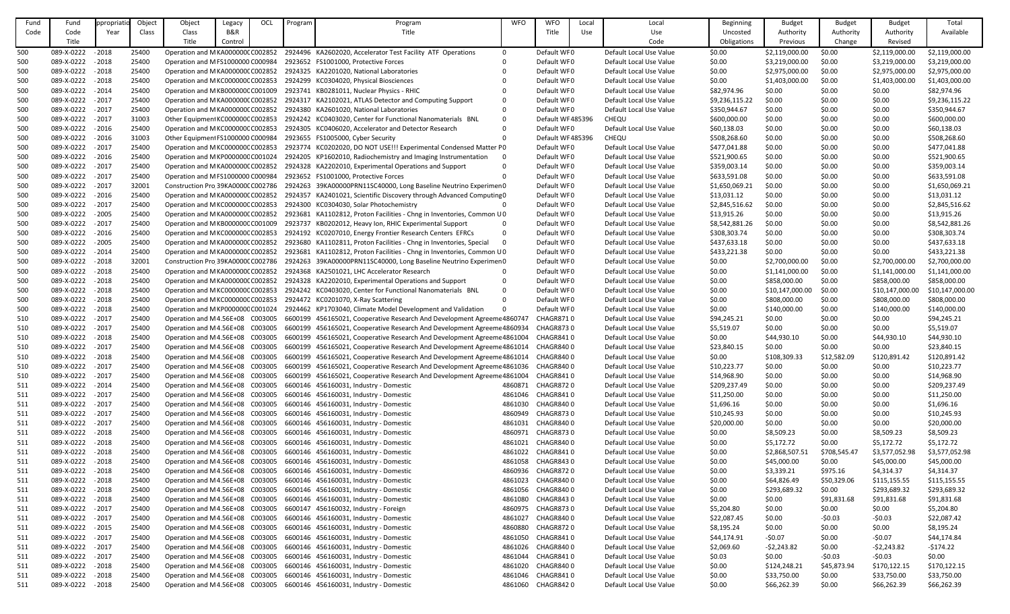| Fund       | Fund              | ppropriat | Object | Object                            | Legacy  | OCL | Program | Program                                                                                                 | <b>WFO</b>     | <b>WFO</b>       | Local | Local                   | Beginning      | <b>Budget</b>   | <b>Budget</b> | <b>Budget</b>   | Total           |
|------------|-------------------|-----------|--------|-----------------------------------|---------|-----|---------|---------------------------------------------------------------------------------------------------------|----------------|------------------|-------|-------------------------|----------------|-----------------|---------------|-----------------|-----------------|
| Code       | Code              | Year      | Class  | Class                             | B&R     |     |         | Title                                                                                                   |                | Title            | Use   | Use                     | Uncosted       | Authority       | Authority     | Authority       | Available       |
|            | Title             |           |        | Title                             | Control |     |         |                                                                                                         |                |                  |       | Code                    | Obligations    | Previous        | Change        | Revised         |                 |
| 500        | 089-X-0222        | $-2018$   | 25400  | Operation and MKA000000CC002852   |         |     |         | 2924496 KA2602020, Accelerator Test Facility ATF Operations                                             | $\overline{0}$ | Default WF0      |       | Default Local Use Value | \$0.00         | \$2,119,000.00  | \$0.00        | \$2,119,000.00  | \$2,119,000.00  |
| 500        | 089-X-0222 - 2018 |           | 25400  | Operation and MFS1000000 C000984  |         |     |         | 2923652 FS1001000, Protective Forces                                                                    |                | Default WF0      |       | Default Local Use Value | \$0.00         | \$3,219,000.00  | \$0.00        | \$3,219,000.00  | \$3,219,000.00  |
| 500        | 089-X-0222        | $-2018$   | 25400  | Operation and MKA000000CC002852   |         |     |         | 2924325 KA2201020, National Laboratories                                                                |                | Default WF0      |       | Default Local Use Value | \$0.00         | \$2,975,000.00  | \$0.00        | \$2,975,000.00  | \$2,975,000.00  |
| 500        | 089-X-0222        | $-2018$   | 25400  | Operation and MKC000000CC002853   |         |     |         | 2924299 KC0304020, Physical Biosciences                                                                 |                | Default WF0      |       | Default Local Use Value | \$0.00         | \$1,403,000.00  | \$0.00        | \$1,403,000.00  | \$1,403,000.00  |
| 500        | 089-X-0222        | $-2014$   | 25400  | Operation and MKB000000CC001009   |         |     |         | 2923741 KB0281011, Nuclear Physics - RHIC                                                               |                | Default WF0      |       | Default Local Use Value | \$82,974.96    | \$0.00          | \$0.00        | \$0.00          | \$82,974.96     |
| 500        | 089-X-0222        | $-2017$   | 25400  | Operation and MKA000000CC002852   |         |     |         | 2924317 KA2102021, ATLAS Detector and Computing Support                                                 |                | Default WF0      |       | Default Local Use Value | \$9,236,115.22 | \$0.00          | \$0.00        | \$0.00          | \$9,236,115.22  |
| 500        | 089-X-0222        | $-2017$   | 25400  | Operation and MKA000000CC002852   |         |     |         | 2924380 KA2601020, National Laboratories                                                                |                | Default WF0      |       | Default Local Use Value | \$350,944.67   | \$0.00          | \$0.00        | \$0.00          | \$350,944.67    |
| 500        | 089-X-0222 - 2017 |           | 31003  | Other Equipment KC000000C C002853 |         |     |         | 2924242 KC0403020, Center for Functional Nanomaterials BNL                                              |                | Default WF485396 |       | <b>CHEQU</b>            | \$600,000.00   | \$0.00          | \$0.00        | \$0.00          | \$600,000.00    |
|            | 089-X-0222 - 2016 |           | 25400  | Operation and MKC000000CC002853   |         |     |         | 2924305 KC0406020, Accelerator and Detector Research                                                    |                | Default WF0      |       | Default Local Use Value | \$60,138.03    | \$0.00          | \$0.00        | \$0.00          | \$60,138.03     |
| 500<br>500 | 089-X-0222        | $-2016$   | 31003  | Other Equipment FS1000000 C000984 |         |     |         | 2923655 FS1005000, Cyber Security                                                                       |                | Default WF485396 |       | <b>CHEQU</b>            | \$508,268.60   | \$0.00          | \$0.00        | \$0.00          | \$508,268.60    |
| 500        | 089-X-0222 - 2017 |           | 25400  | Operation and MKC000000CC002853   |         |     |         | 2923774 KC0202020, DO NOT USE!!! Experimental Condensed Matter P0                                       |                | Default WF0      |       | Default Local Use Value | \$477,041.88   | \$0.00          | \$0.00        | \$0.00          | \$477,041.88    |
|            | 089-X-0222        | $-2016$   | 25400  | Operation and MKP000000CC001024   |         |     |         | 2924205 KP1602010, Radiochemistry and Imaging Instrumentation                                           |                | Default WF0      |       | Default Local Use Value |                |                 |               |                 | \$521,900.65    |
| 500        | 089-X-0222 - 2017 |           |        |                                   |         |     |         |                                                                                                         |                |                  |       |                         | \$521,900.65   | \$0.00          | \$0.00        | \$0.00          |                 |
| 500        |                   |           | 25400  | Operation and MKA000000CC002852   |         |     |         | 2924328 KA2202010, Experimental Operations and Support                                                  |                | Default WF0      |       | Default Local Use Value | \$359,003.14   | \$0.00          | \$0.00        | \$0.00          | \$359,003.14    |
| 500        | 089-X-0222 - 2017 |           | 25400  | Operation and MFS1000000 C000984  |         |     |         | 2923652 FS1001000, Protective Forces                                                                    |                | Default WF0      |       | Default Local Use Value | \$633,591.08   | \$0.00          | \$0.00        | \$0.00          | \$633,591.08    |
| 500        | 089-X-0222        | $-2017$   | 32001  | Construction Pro 39KA0000CC002786 |         |     |         | 2924263 39KA00000PRN11SC40000, Long Baseline Neutrino Experimen0                                        |                | Default WF0      |       | Default Local Use Value | \$1,650,069.21 | \$0.00          | \$0.00        | \$0.00          | \$1,650,069.21  |
| 500        | 089-X-0222        | $-2016$   | 25400  | Operation and MKA000000CC002852   |         |     |         | 2924357 KA2401021, Scientific Discovery through Advanced Computing 0                                    |                | Default WF0      |       | Default Local Use Value | \$13,031.12    | \$0.00          | \$0.00        | \$0.00          | \$13,031.12     |
| 500        | 089-X-0222        | $-2017$   | 25400  | Operation and MKC000000CC002853   |         |     |         | 2924300 KC0304030, Solar Photochemistry                                                                 |                | Default WF0      |       | Default Local Use Value | \$2,845,516.62 | \$0.00          | \$0.00        | \$0.00          | \$2,845,516.62  |
| 500        | 089-X-0222        | $-2005$   | 25400  | Operation and MKA000000CC002852   |         |     |         | 2923681 KA1102812, Proton Facilities - Chng in Inventories, Common U0                                   |                | Default WF0      |       | Default Local Use Value | \$13,915.26    | \$0.00          | \$0.00        | \$0.00          | \$13,915.26     |
| 500        | 089-X-0222 - 2017 |           | 25400  | Operation and MKB000000CC001009   |         |     |         | 2923737 KB0202012, Heavy Ion, RHIC Experimental Support                                                 |                | Default WF0      |       | Default Local Use Value | \$8,542,881.26 | \$0.00          | \$0.00        | \$0.00          | \$8,542,881.26  |
| 500        | 089-X-0222        | $-2016$   | 25400  | Operation and MKC000000CC002853   |         |     |         | 2924192 KC0207010, Energy Frontier Research Centers EFRCs                                               |                | Default WF0      |       | Default Local Use Value | \$308,303.74   | \$0.00          | \$0.00        | \$0.00          | \$308,303.74    |
| 500        | 089-X-0222        | $-2005$   | 25400  | Operation and MKA000000CC002852   |         |     |         | 2923680 KA1102811, Proton Facilities - Chng in Inventories, Special                                     |                | Default WF0      |       | Default Local Use Value | \$437,633.18   | \$0.00          | \$0.00        | \$0.00          | \$437,633.18    |
| 500        | 089-X-0222 - 2014 |           | 25400  | Operation and MKA000000CC002852   |         |     |         | 2923681 KA1102812, Proton Facilities - Chng in Inventories, Common U0                                   |                | Default WF0      |       | Default Local Use Value | \$433,221.38   | \$0.00          | \$0.00        | \$0.00          | \$433,221.38    |
| 500        | 089-X-0222        | $-2018$   | 32001  | Construction Pro 39KA0000CC002786 |         |     |         | 2924263 39KA00000PRN11SC40000, Long Baseline Neutrino Experimen0                                        |                | Default WF0      |       | Default Local Use Value | \$0.00         | \$2,700,000.00  | \$0.00        | \$2,700,000.00  | \$2,700,000.00  |
| 500        | 089-X-0222        | $-2018$   | 25400  | Operation and MKA000000CC002852   |         |     |         | 2924368 KA2501021, LHC Accelerator Research                                                             |                | Default WF0      |       | Default Local Use Value | \$0.00         | \$1,141,000.00  | \$0.00        | \$1,141,000.00  | \$1,141,000.00  |
| 500        | 089-X-0222        | $-2018$   | 25400  | Operation and MKA000000CC002852   |         |     |         | 2924328 KA2202010, Experimental Operations and Support                                                  |                | Default WF0      |       | Default Local Use Value | \$0.00         | \$858,000.00    | \$0.00        | \$858,000.00    | \$858,000.00    |
| 500        | 089-X-0222        | $-2018$   | 25400  | Operation and MKC000000CC002853   |         |     |         | 2924242 KC0403020, Center for Functional Nanomaterials BNL                                              |                | Default WF0      |       | Default Local Use Value | \$0.00         | \$10,147,000.00 | \$0.00        | \$10,147,000.00 | \$10,147,000.00 |
| 500        | 089-X-0222        | $-2018$   | 25400  | Operation and MKC000000CC002853   |         |     |         | 2924472 KC0201070, X-Ray Scattering                                                                     |                | Default WF0      |       | Default Local Use Value | \$0.00         | \$808,000.00    | \$0.00        | \$808,000.00    | \$808,000.00    |
| 500        | 089-X-0222        | $-2018$   | 25400  | Operation and MKP000000CC001024   |         |     |         | 2924462 KP1703040, Climate Model Development and Validation                                             |                | Default WF0      |       | Default Local Use Value | \$0.00         | \$140,000.00    | \$0.00        | \$140,000.00    | \$140,000.00    |
| 510        | 089-X-0222 - 2017 |           | 25400  |                                   |         |     |         | Operation and M4.56E+08 C003005 6600199 456165021, Cooperative Research And Development Agreeme 4860747 |                | CHAGR8710        |       | Default Local Use Value | \$94,245.21    | \$0.00          | \$0.00        | \$0.00          | \$94,245.21     |
| 510        | 089-X-0222 - 2017 |           | 25400  | Operation and M4.56E+08 C003005   |         |     |         | 6600199 456165021, Cooperative Research And Development Agreeme 4860934                                 |                | CHAGR8730        |       | Default Local Use Value | \$5,519.07     | \$0.00          | \$0.00        | \$0.00          | \$5,519.07      |
| 510        | 089-X-0222 - 2018 |           | 25400  | Operation and M4.56E+08 C003005   |         |     |         | 6600199 456165021, Cooperative Research And Development Agreeme 4861004                                 |                | CHAGR8410        |       | Default Local Use Value | \$0.00         | \$44,930.10     | \$0.00        | \$44,930.10     | \$44,930.10     |
| 510        | 089-X-0222        | $-2017$   | 25400  | Operation and M4.56E+08 C003005   |         |     |         | 6600199 456165021, Cooperative Research And Development Agreeme 4861014                                 |                | CHAGR8400        |       | Default Local Use Value | \$23,840.15    | \$0.00          | \$0.00        | \$0.00          | \$23,840.15     |
| 510        | 089-X-0222 - 2018 |           | 25400  | Operation and M4.56E+08 C003005   |         |     |         | 6600199 456165021, Cooperative Research And Development Agreeme 4861014                                 |                | <b>CHAGR8400</b> |       | Default Local Use Value | \$0.00         | \$108,309.33    | \$12,582.09   | \$120,891.42    | \$120,891.42    |
| 510        | 089-X-0222 - 2017 |           | 25400  | Operation and M4.56E+08 C003005   |         |     |         | 6600199 456165021, Cooperative Research And Development Agreeme 4861036                                 |                | CHAGR8400        |       | Default Local Use Value | \$10,223.77    | \$0.00          | \$0.00        | \$0.00          | \$10,223.77     |
| 510        | 089-X-0222        | $-2017$   | 25400  | Operation and M4.56E+08 C003005   |         |     |         | 6600199 456165021, Cooperative Research And Development Agreeme 4861004                                 |                | CHAGR8410        |       | Default Local Use Value | \$14,968.90    | \$0.00          | \$0.00        | \$0.00          | \$14,968.90     |
| 511        | 089-X-0222 - 2014 |           | 25400  | Operation and M4.56E+08 C003005   |         |     |         | 6600146 456160031, Industry - Domestic                                                                  | 4860871        | CHAGR8720        |       | Default Local Use Value | \$209,237.49   | \$0.00          | \$0.00        | \$0.00          | \$209,237.49    |
| 511        | 089-X-0222 - 2017 |           | 25400  | Operation and M4.56E+08 C003005   |         |     |         | 6600146 456160031, Industry - Domestic                                                                  | 4861046        | CHAGR8410        |       | Default Local Use Value | \$11,250.00    | \$0.00          | \$0.00        | \$0.00          | \$11,250.00     |
| 511        | 089-X-0222 - 2017 |           | 25400  | Operation and M4.56E+08 C003005   |         |     |         | 6600146 456160031, Industry - Domestic                                                                  | 4861030        | CHAGR8400        |       | Default Local Use Value | \$1,696.16     | \$0.00          | \$0.00        | \$0.00          | \$1,696.16      |
| 511        | 089-X-0222 - 2017 |           | 25400  | Operation and M4.56E+08 C003005   |         |     |         | 6600146 456160031, Industry - Domestic                                                                  | 4860949        | CHAGR8730        |       | Default Local Use Value | \$10,245.93    | \$0.00          | \$0.00        | \$0.00          | \$10,245.93     |
| 511        | 089-X-0222 - 2017 |           | 25400  | Operation and M4.56E+08 C003005   |         |     |         | 6600146 456160031, Industry - Domestic                                                                  | 4861031        | CHAGR8400        |       | Default Local Use Value | \$20,000.00    | \$0.00          | \$0.00        | \$0.00          | \$20,000.00     |
| 511        | 089-X-0222        | $-2018$   | 25400  | Operation and M4.56E+08 C003005   |         |     |         | 6600146 456160031, Industry - Domestic                                                                  | 4860971        | CHAGR8730        |       | Default Local Use Value | \$0.00         | \$8,509.23      | \$0.00        | \$8,509.23      | \$8,509.23      |
| 511        | 089-X-0222 - 2018 |           | 25400  | Operation and M4.56E+08 C003005   |         |     |         | 6600146 456160031, Industry - Domestic                                                                  | 4861021        | CHAGR8400        |       | Default Local Use Value | \$0.00         | \$5,172.72      | \$0.00        | \$5,172.72      | \$5,172.72      |
| 511        | 089-X-0222 - 2018 |           | 25400  | Operation and M4.56E+08 C003005   |         |     |         | 6600146 456160031, Industry - Domestic                                                                  | 4861022        | CHAGR8410        |       | Default Local Use Value | \$0.00         | \$2,868,507.51  | \$708,545.47  | \$3,577,052.98  | \$3,577,052.98  |
| 511        | 089-X-0222 - 2018 |           | 25400  | Operation and M4.56E+08 C003005   |         |     |         | 6600146 456160031, Industry - Domestic                                                                  | 4861058        | CHAGR8430        |       | Default Local Use Value | \$0.00         | \$45,000.00     | \$0.00        | \$45,000.00     | \$45,000.00     |
| 511        | 089-X-0222 - 2018 |           | 25400  | Operation and M4.56E+08 C003005   |         |     |         | 6600146 456160031, Industry - Domestic                                                                  | 4860936        | <b>CHAGR8720</b> |       | Default Local Use Value | \$0.00         | \$3,339.21      | \$975.16      | \$4,314.37      | \$4,314.37      |
| 511        | 089-X-0222        | $-2018$   | 25400  | Operation and M4.56E+08 C003005   |         |     |         | 6600146 456160031, Industry - Domestic                                                                  | 4861023        | CHAGR8400        |       | Default Local Use Value | \$0.00         | \$64,826.49     | \$50,329.06   | \$115,155.55    | \$115,155.55    |
| 511        | 089-X-0222 - 2018 |           | 25400  | Operation and M4.56E+08 C003005   |         |     |         | 6600146 456160031, Industry - Domestic                                                                  | 4861056        | CHAGR8400        |       | Default Local Use Value | \$0.00         | \$293,689.32    | \$0.00        | \$293,689.32    | \$293,689.32    |
| 511        | 089-X-0222 - 2018 |           | 25400  | Operation and M4.56E+08 C003005   |         |     |         | 6600146 456160031, Industry - Domestic                                                                  | 4861080        | CHAGR8430        |       | Default Local Use Value | \$0.00         | \$0.00          | \$91,831.68   | \$91,831.68     | \$91,831.68     |
| 511        | 089-X-0222        | $-2017$   | 25400  | Operation and M4.56E+08 C003005   |         |     |         | 6600147 456160032, Industry - Foreign                                                                   | 4860975        | <b>CHAGR8730</b> |       | Default Local Use Value | \$5,204.80     | \$0.00          | \$0.00        | \$0.00          | \$5,204.80      |
| 511        | 089-X-0222 - 2017 |           | 25400  | Operation and M4.56E+08 C003005   |         |     |         | 6600146 456160031, Industry - Domestic                                                                  | 4861027        | CHAGR8400        |       | Default Local Use Value | \$22,087.45    | \$0.00          | $-50.03$      | $-50.03$        | \$22,087.42     |
| 511        | 089-X-0222 - 2015 |           | 25400  | Operation and M4.56E+08 C003005   |         |     |         | 6600146 456160031, Industry - Domestic                                                                  | 4860880        | CHAGR8720        |       | Default Local Use Value | \$8,195.24     | \$0.00          | \$0.00        | \$0.00          | \$8,195.24      |
| 511        | 089-X-0222 - 2017 |           | 25400  | Operation and M4.56E+08 C003005   |         |     |         | 6600146 456160031, Industry - Domestic                                                                  | 4861050        | CHAGR8410        |       | Default Local Use Value | \$44,174.91    | $-50.07$        | \$0.00        | $-50.07$        | \$44,174.84     |
| 511        | 089-X-0222 - 2017 |           | 25400  | Operation and M4.56E+08 C003005   |         |     |         | 6600146 456160031, Industry - Domestic                                                                  | 4861026        | CHAGR8400        |       | Default Local Use Value | \$2,069.60     | $-52,243.82$    | \$0.00        | $-52,243.82$    | $-5174.22$      |
| 511        | 089-X-0222 - 2017 |           | 25400  | Operation and M4.56E+08 C003005   |         |     |         | 6600146 456160031, Industry - Domestic                                                                  | 4861044        | CHAGR8410        |       | Default Local Use Value | \$0.03         | \$0.00          | $-50.03$      | $-50.03$        | \$0.00          |
| 511        | 089-X-0222 - 2018 |           | 25400  | Operation and M4.56E+08 C003005   |         |     |         | 6600146 456160031, Industry - Domestic                                                                  | 4861020        | CHAGR8400        |       | Default Local Use Value | \$0.00         | \$124,248.21    | \$45,873.94   | \$170,122.15    | \$170,122.15    |
| 511        | 089-X-0222 - 2018 |           | 25400  | Operation and M4.56E+08 C003005   |         |     |         | 6600146 456160031, Industry - Domestic                                                                  | 4861046        | CHAGR8410        |       | Default Local Use Value | \$0.00         | \$33,750.00     | \$0.00        | \$33,750.00     | \$33,750.00     |
| 511        | 089-X-0222        | $-2018$   | 25400  | Operation and M4.56E+08 C003005   |         |     |         | 6600146 456160031, Industry - Domestic                                                                  | 4861060        | CHAGR8420        |       | Default Local Use Value | \$0.00         | \$66,262.39     | \$0.00        | \$66,262.39     | \$66,262.39     |
|            |                   |           |        |                                   |         |     |         |                                                                                                         |                |                  |       |                         |                |                 |               |                 |                 |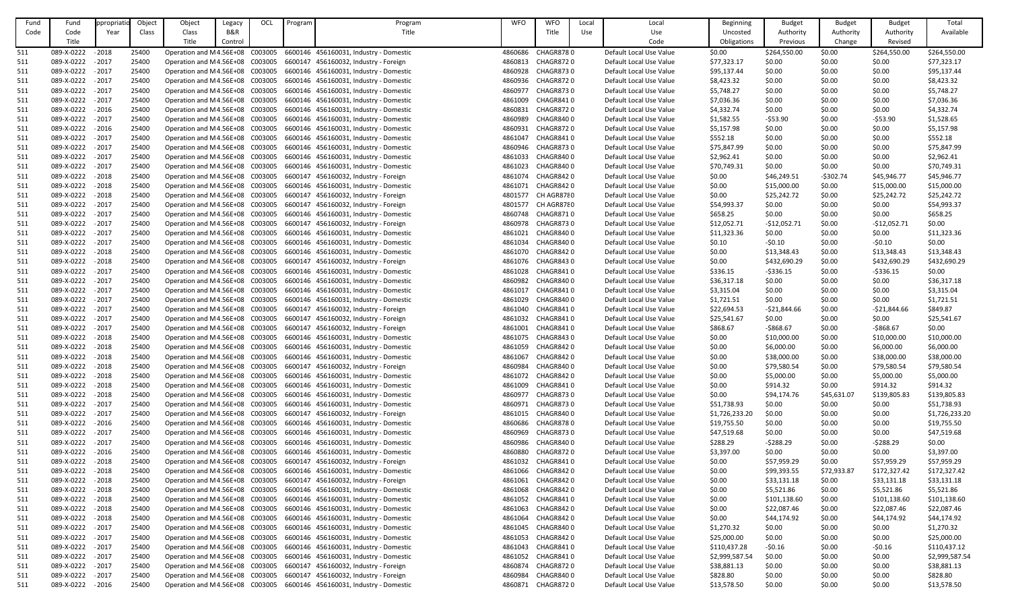| Fund | Fund              | ppropriati | Object | Object                          | Legacy  | OCL | Program | Program                                                               | <b>WFO</b> | <b>WFO</b>        | Local | Local                   | <b>Beginning</b> | <b>Budget</b> | <b>Budget</b> | <b>Budget</b> | Total          |
|------|-------------------|------------|--------|---------------------------------|---------|-----|---------|-----------------------------------------------------------------------|------------|-------------------|-------|-------------------------|------------------|---------------|---------------|---------------|----------------|
| Code | Code              | Year       | Class  | Class                           | B&R     |     |         | Title                                                                 |            | Title             | Use   | Use                     | Uncosted         | Authority     | Authority     | Authority     | Available      |
|      | Title             |            |        | Title                           | Control |     |         |                                                                       |            |                   |       | Code                    | Obligations      | Previous      | Change        | Revised       |                |
| 511  | 089-X-0222        | $-2018$    | 25400  | Operation and M4.56E+08 C003005 |         |     |         | 6600146 456160031, Industry - Domestic                                | 4860686    | CHAGR8780         |       | Default Local Use Value | \$0.00           | \$264,550.00  | \$0.00        | \$264,550.00  | \$264,550.00   |
| 511  | 089-X-0222 - 2017 |            | 25400  | Operation and M4.56E+08 C003005 |         |     |         | 6600147 456160032, Industry - Foreign                                 | 4860813    | CHAGR8720         |       | Default Local Use Value | \$77,323.17      | \$0.00        | \$0.00        | \$0.00        | \$77,323.17    |
| 511  | 089-X-0222 - 2017 |            | 25400  | Operation and M4.56E+08 C003005 |         |     |         | 6600146 456160031, Industry - Domestic                                | 4860928    | CHAGR8730         |       | Default Local Use Value | \$95,137.44      | \$0.00        | \$0.00        | \$0.00        | \$95,137.44    |
| 511  | 089-X-0222 - 2017 |            | 25400  | Operation and M4.56E+08 C003005 |         |     |         | 6600146 456160031, Industry - Domestic                                | 4860936    | CHAGR872 0        |       | Default Local Use Value | \$8,423.32       | \$0.00        | \$0.00        | \$0.00        | \$8,423.32     |
| 511  | 089-X-0222 - 2017 |            | 25400  | Operation and M4.56E+08 C003005 |         |     |         | 6600146 456160031, Industry - Domestic                                | 4860977    | <b>CHAGR8730</b>  |       | Default Local Use Value | \$5,748.27       | \$0.00        | \$0.00        | \$0.00        | \$5,748.27     |
|      |                   |            |        |                                 |         |     |         |                                                                       |            |                   |       |                         |                  |               |               |               |                |
| 511  | 089-X-0222 - 2017 |            | 25400  | Operation and M4.56E+08 C003005 |         |     |         | 6600146 456160031, Industry - Domestic                                | 4861009    | CHAGR8410         |       | Default Local Use Value | \$7,036.36       | \$0.00        | \$0.00        | \$0.00        | \$7,036.36     |
| 511  | 089-X-0222 - 2016 |            | 25400  | Operation and M4.56E+08 C003005 |         |     |         | 6600146 456160031, Industry - Domestic                                | 4860831    | CHAGR8720         |       | Default Local Use Value | \$4,332.74       | \$0.00        | \$0.00        | \$0.00        | \$4,332.74     |
| 511  | 089-X-0222 - 2017 |            | 25400  | Operation and M4.56E+08 C003005 |         |     |         | 6600146 456160031, Industry - Domestic                                | 4860989    | CHAGR8400         |       | Default Local Use Value | \$1,582.55       | $-553.90$     | \$0.00        | $-553.90$     | \$1,528.65     |
| 511  | 089-X-0222 - 2016 |            | 25400  | Operation and M4.56E+08 C003005 |         |     |         | 6600146 456160031, Industry - Domestic                                | 4860931    | CHAGR8720         |       | Default Local Use Value | \$5,157.98       | \$0.00        | \$0.00        | \$0.00        | \$5,157.98     |
| 511  | 089-X-0222        | $-2017$    | 25400  | Operation and M4.56E+08 C003005 |         |     |         | 6600146 456160031, Industry - Domestic                                | 4861047    | CHAGR8410         |       | Default Local Use Value | \$552.18         | \$0.00        | \$0.00        | \$0.00        | \$552.18       |
| 511  | 089-X-0222 - 2017 |            | 25400  | Operation and M4.56E+08 C003005 |         |     |         | 6600146 456160031, Industry - Domestic                                | 4860946    | CHAGR8730         |       | Default Local Use Value | \$75,847.99      | \$0.00        | \$0.00        | \$0.00        | \$75,847.99    |
| 511  | 089-X-0222 - 2017 |            | 25400  | Operation and M4.56E+08 C003005 |         |     |         | 6600146 456160031, Industry - Domestic                                | 4861033    | CHAGR8400         |       | Default Local Use Value | \$2,962.41       | \$0.00        | \$0.00        | \$0.00        | \$2,962.41     |
| 511  | 089-X-0222 - 2017 |            | 25400  | Operation and M4.56E+08 C003005 |         |     |         | 6600146 456160031, Industry - Domestic                                | 4861023    | CHAGR8400         |       | Default Local Use Value | \$70,749.31      | \$0.00        | \$0.00        | \$0.00        | \$70,749.31    |
| 511  | 089-X-0222 - 2018 |            | 25400  | Operation and M4.56E+08 C003005 |         |     |         | 6600147 456160032, Industry - Foreign                                 | 4861074    | CHAGR8420         |       | Default Local Use Value | \$0.00           | \$46,249.51   | $-5302.74$    | \$45,946.77   | \$45,946.77    |
| 511  | 089-X-0222 - 2018 |            | 25400  | Operation and M4.56E+08 C003005 |         |     |         | 6600146 456160031, Industry - Domestic                                | 4861071    | CHAGR842 0        |       | Default Local Use Value | \$0.00           | \$15,000.00   | \$0.00        | \$15,000.00   | \$15,000.00    |
| 511  | 089-X-0222 - 2018 |            | 25400  | Operation and M4.56E+08 C003005 |         |     |         | 6600147 456160032, Industry - Foreign                                 | 4801577    | CH AGR8780        |       | Default Local Use Value | \$0.00           | \$25,242.72   | \$0.00        | \$25,242.72   | \$25,242.72    |
| 511  | 089-X-0222 - 2017 |            | 25400  | Operation and M4.56E+08 C003005 |         |     |         | 6600147 456160032, Industry - Foreign                                 | 4801577    | CH AGR8780        |       | Default Local Use Value | \$54,993.37      | \$0.00        | \$0.00        | \$0.00        | \$54,993.37    |
| 511  | 089-X-0222 - 2017 |            | 25400  | Operation and M4.56E+08 C003005 |         |     |         | 6600146 456160031, Industry - Domestic                                | 4860748    | CHAGR8710         |       | Default Local Use Value | \$658.25         | \$0.00        | \$0.00        | \$0.00        | \$658.25       |
| 511  | 089-X-0222 - 2017 |            | 25400  | Operation and M4.56E+08 C003005 |         |     |         | 6600147 456160032, Industry - Foreign                                 | 4860978    | CHAGR8730         |       | Default Local Use Value | \$12,052.71      | $-$12,052.71$ | \$0.00        | $-$12,052.71$ | \$0.00         |
| 511  | 089-X-0222 - 2017 |            | 25400  | Operation and M4.56E+08 C003005 |         |     |         | 6600146 456160031, Industry - Domestic                                | 4861021    | CHAGR8400         |       | Default Local Use Value | \$11,323.36      | \$0.00        | \$0.00        | \$0.00        | \$11,323.36    |
| 511  | 089-X-0222        | $-2017$    | 25400  | Operation and M4.56E+08 C003005 |         |     |         | 6600146 456160031, Industry - Domestic                                | 4861034    | CHAGR8400         |       | Default Local Use Value | \$0.10           | $-50.10$      | \$0.00        | $-50.10$      | \$0.00         |
| 511  | 089-X-0222 - 2018 |            | 25400  | Operation and M4.56E+08 C003005 |         |     |         | 6600146 456160031, Industry - Domestic                                | 4861070    | CHAGR8420         |       | Default Local Use Value | \$0.00           | \$13,348.43   | \$0.00        | \$13,348.43   | \$13,348.43    |
| 511  | 089-X-0222 - 2018 |            | 25400  | Operation and M4.56E+08 C003005 |         |     |         | 6600147 456160032, Industry - Foreign                                 | 4861076    | CHAGR8430         |       | Default Local Use Value | \$0.00           | \$432,690.29  | \$0.00        | \$432,690.29  | \$432,690.29   |
| 511  | 089-X-0222        | $-2017$    | 25400  | Operation and M4.56E+08 C003005 |         |     |         | 6600146 456160031, Industry - Domestic                                | 4861028    | CHAGR8410         |       | Default Local Use Value | \$336.15         | $-5336.15$    | \$0.00        | $-5336.15$    | \$0.00         |
| 511  | 089-X-0222 - 2017 |            | 25400  | Operation and M4.56E+08 C003005 |         |     |         | 6600146 456160031, Industry - Domestic                                | 4860982    | CHAGR8400         |       | Default Local Use Value | \$36,317.18      | \$0.00        | \$0.00        | \$0.00        | \$36,317.18    |
| 511  | 089-X-0222        | $-2017$    | 25400  | Operation and M4.56E+08 C003005 |         |     |         | 6600146 456160031, Industry - Domestic                                | 4861017    | CHAGR8410         |       | Default Local Use Value | \$3,315.04       | \$0.00        | \$0.00        | \$0.00        | \$3,315.04     |
| 511  | 089-X-0222        | $-2017$    | 25400  | Operation and M4.56E+08 C003005 |         |     |         | 6600146 456160031, Industry - Domestic                                | 4861029    | CHAGR8400         |       | Default Local Use Value | \$1,721.51       | \$0.00        | \$0.00        | \$0.00        | \$1,721.51     |
|      |                   | $-2017$    | 25400  |                                 |         |     |         | 6600147 456160032, Industry - Foreign                                 |            | CHAGR8410         |       |                         |                  |               |               |               | \$849.87       |
| 511  | 089-X-0222        |            |        | Operation and M4.56E+08 C003005 |         |     |         |                                                                       | 4861040    |                   |       | Default Local Use Value | \$22,694.53      | $-521,844.66$ | \$0.00        | $-521,844.66$ |                |
| 511  | 089-X-0222 - 2017 |            | 25400  |                                 |         |     |         | Operation and M4.56E+08 C003005 6600147 456160032, Industry - Foreign |            | 4861032 CHAGR8410 |       | Default Local Use Value | \$25,541.67      | \$0.00        | \$0.00        | \$0.00        | \$25,541.67    |
| 511  | 089-X-0222 - 2017 |            | 25400  | Operation and M4.56E+08 C003005 |         |     |         | 6600147 456160032, Industry - Foreign                                 | 4861001    | CHAGR8410         |       | Default Local Use Value | \$868.67         | -\$868.67     | \$0.00        | $-5868.67$    | \$0.00         |
| 511  | 089-X-0222 - 2018 |            | 25400  | Operation and M4.56E+08 C003005 |         |     |         | 6600146 456160031, Industry - Domestic                                | 4861075    | CHAGR8430         |       | Default Local Use Value | \$0.00           | \$10,000.00   | \$0.00        | \$10,000.00   | \$10,000.00    |
| 511  | 089-X-0222        | $-2018$    | 25400  | Operation and M4.56E+08 C003005 |         |     |         | 6600146 456160031, Industry - Domestic                                | 4861059    | CHAGR8420         |       | Default Local Use Value | \$0.00           | \$6,000.00    | \$0.00        | \$6,000.00    | \$6,000.00     |
| 511  | 089-X-0222 - 2018 |            | 25400  | Operation and M4.56E+08 C003005 |         |     |         | 6600146 456160031, Industry - Domestic                                | 4861067    | CHAGR8420         |       | Default Local Use Value | \$0.00           | \$38,000.00   | \$0.00        | \$38,000.00   | \$38,000.00    |
| 511  | 089-X-0222 - 2018 |            | 25400  | Operation and M4.56E+08 C003005 |         |     |         | 6600147 456160032, Industry - Foreign                                 | 4860984    | CHAGR8400         |       | Default Local Use Value | \$0.00           | \$79,580.54   | \$0.00        | \$79,580.54   | \$79,580.54    |
| 511  | 089-X-0222        | $-2018$    | 25400  | Operation and M4.56E+08 C003005 |         |     |         | 6600146 456160031, Industry - Domestic                                | 4861072    | CHAGR8420         |       | Default Local Use Value | \$0.00           | \$5,000.00    | \$0.00        | \$5,000.00    | \$5,000.00     |
| 511  | 089-X-0222 - 2018 |            | 25400  | Operation and M4.56E+08 C003005 |         |     |         | 6600146 456160031, Industry - Domestic                                | 4861009    | CHAGR8410         |       | Default Local Use Value | \$0.00           | \$914.32      | \$0.00        | \$914.32      | \$914.32       |
| 511  | 089-X-0222 - 2018 |            | 25400  | Operation and M4.56E+08 C003005 |         |     |         | 6600146 456160031, Industry - Domestic                                | 4860977    | CHAGR8730         |       | Default Local Use Value | \$0.00           | \$94,174.76   | \$45,631.07   | \$139,805.83  | \$139,805.83   |
| 511  | 089-X-0222 - 2017 |            | 25400  | Operation and M4.56E+08 C003005 |         |     |         | 6600146 456160031, Industry - Domestic                                | 4860971    | CHAGR8730         |       | Default Local Use Value | \$51,738.93      | \$0.00        | \$0.00        | \$0.00        | \$51,738.93    |
| 511  | 089-X-0222 - 2017 |            | 25400  | Operation and M4.56E+08 C003005 |         |     |         | 6600147 456160032, Industry - Foreign                                 | 4861015    | CHAGR8400         |       | Default Local Use Value | \$1,726,233.20   | \$0.00        | \$0.00        | \$0.00        | \$1,726,233.20 |
| 511  | 089-X-0222 - 2016 |            | 25400  | Operation and M4.56E+08 C003005 |         |     |         | 6600146 456160031, Industry - Domestic                                | 4860686    | CHAGR8780         |       | Default Local Use Value | \$19,755.50      | \$0.00        | \$0.00        | \$0.00        | \$19,755.50    |
| 511  | 089-X-0222 - 2017 |            | 25400  | Operation and M4.56E+08 C003005 |         |     |         | 6600146 456160031, Industry - Domestic                                | 4860969    | CHAGR8730         |       | Default Local Use Value | \$47,519.68      | \$0.00        | \$0.00        | \$0.00        | \$47,519.68    |
| 511  | 089-X-0222 - 2017 |            | 25400  | Operation and M4.56E+08 C003005 |         |     |         | 6600146 456160031, Industry - Domestic                                | 4860986    | CHAGR8400         |       | Default Local Use Value | \$288.29         | $-5288.29$    | \$0.00        | $-5288.29$    | \$0.00         |
| 511  | 089-X-0222 - 2016 |            | 25400  | Operation and M4.56E+08 C003005 |         |     |         | 6600146 456160031, Industry - Domestic                                | 4860880    | CHAGR8720         |       | Default Local Use Value | \$3,397.00       | \$0.00        | \$0.00        | \$0.00        | \$3,397.00     |
| 511  | 089-X-0222 - 2018 |            | 25400  | Operation and M4.56E+08 C003005 |         |     |         | 6600147 456160032, Industry - Foreign                                 | 4861032    | CHAGR8410         |       | Default Local Use Value | \$0.00           | \$57,959.29   | \$0.00        | \$57,959.29   | \$57,959.29    |
| 511  | 089-X-0222 - 2018 |            | 25400  | Operation and M4.56E+08 C003005 |         |     |         | 6600146 456160031, Industry - Domestic                                |            | 4861066 CHAGR8420 |       | Default Local Use Value | \$0.00           | \$99,393.55   | \$72,933.87   | \$172,327.42  | \$172,327.42   |
| 511  | 089-X-0222        | $-2018$    | 25400  | Operation and M4.56E+08 C003005 |         |     |         | 6600147 456160032, Industry - Foreign                                 | 4861061    | CHAGR8420         |       | Default Local Use Value | \$0.00           | \$33,131.18   | \$0.00        | \$33,131.18   | \$33,131.18    |
| 511  | 089-X-0222 - 2018 |            | 25400  | Operation and M4.56E+08 C003005 |         |     |         | 6600146 456160031, Industry - Domestic                                | 4861068    | CHAGR8420         |       | Default Local Use Value | \$0.00           | \$5,521.86    | \$0.00        | \$5,521.86    | \$5,521.86     |
| 511  | 089-X-0222 - 2018 |            | 25400  | Operation and M4.56E+08 C003005 |         |     |         | 6600146 456160031, Industry - Domestic                                | 4861052    | CHAGR8410         |       | Default Local Use Value | \$0.00           | \$101,138.60  | \$0.00        | \$101,138.60  | \$101,138.60   |
| 511  | 089-X-0222 - 2018 |            | 25400  | Operation and M4.56E+08 C003005 |         |     |         | 6600146 456160031, Industry - Domestic                                | 4861063    | CHAGR8420         |       | Default Local Use Value | \$0.00           | \$22,087.46   | \$0.00        | \$22,087.46   | \$22,087.46    |
| 511  | 089-X-0222 - 2018 |            | 25400  | Operation and M4.56E+08 C003005 |         |     |         | 6600146 456160031, Industry - Domestic                                | 4861064    | CHAGR8420         |       | Default Local Use Value | \$0.00           | \$44,174.92   | \$0.00        | \$44,174.92   | \$44,174.92    |
| 511  | 089-X-0222 - 2017 |            | 25400  | Operation and M4.56E+08 C003005 |         |     |         | 6600146 456160031, Industry - Domestic                                | 4861045    | CHAGR8400         |       | Default Local Use Value | \$1,270.32       | \$0.00        | \$0.00        | \$0.00        | \$1,270.32     |
|      |                   |            |        |                                 |         |     |         |                                                                       |            |                   |       |                         |                  |               |               |               |                |
| 511  | 089-X-0222 - 2017 |            | 25400  | Operation and M4.56E+08 C003005 |         |     |         | 6600146 456160031, Industry - Domestic                                | 4861053    | CHAGR8420         |       | Default Local Use Value | \$25,000.00      | \$0.00        | \$0.00        | \$0.00        | \$25,000.00    |
| 511  | 089-X-0222 - 2017 |            | 25400  | Operation and M4.56E+08 C003005 |         |     |         | 6600146 456160031, Industry - Domestic                                | 4861043    | CHAGR8410         |       | Default Local Use Value | \$110,437.28     | $-50.16$      | \$0.00        | $-50.16$      | \$110,437.12   |
| 511  | 089-X-0222 - 2017 |            | 25400  | Operation and M4.56E+08 C003005 |         |     |         | 6600146 456160031, Industry - Domestic                                | 4861052    | CHAGR8410         |       | Default Local Use Value | \$2,999,587.54   | \$0.00        | \$0.00        | \$0.00        | \$2,999,587.54 |
| 511  | 089-X-0222 - 2017 |            | 25400  | Operation and M4.56E+08 C003005 |         |     |         | 6600147 456160032, Industry - Foreign                                 | 4860874    | CHAGR8720         |       | Default Local Use Value | \$38,881.13      | \$0.00        | \$0.00        | \$0.00        | \$38,881.13    |
| 511  | 089-X-0222 - 2017 |            | 25400  | Operation and M4.56E+08 C003005 |         |     |         | 6600147 456160032, Industry - Foreign                                 | 4860984    | CHAGR8400         |       | Default Local Use Value | \$828.80         | \$0.00        | \$0.00        | \$0.00        | \$828.80       |
| 511  | 089-X-0222        | $-2016$    | 25400  | Operation and M4.56E+08 C003005 |         |     |         | 6600146 456160031, Industry - Domestic                                | 4860871    | CHAGR8720         |       | Default Local Use Value | \$13,578.50      | \$0.00        | \$0.00        | \$0.00        | \$13,578.50    |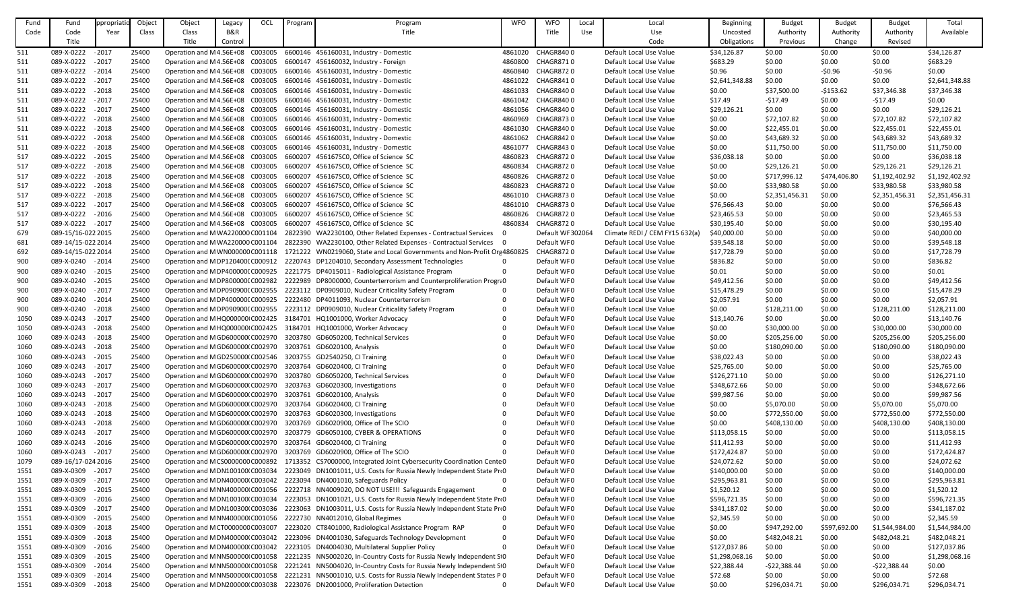| Fund | Fund               | ppropriat | Object       | Object                           | Legacy  | OCL | Program | Program                                                                   | <b>WFO</b> | <b>WFO</b>        | Local | Local                          | Beginning      | <b>Budget</b>  | <b>Budget</b> | <b>Budget</b>  | Total          |
|------|--------------------|-----------|--------------|----------------------------------|---------|-----|---------|---------------------------------------------------------------------------|------------|-------------------|-------|--------------------------------|----------------|----------------|---------------|----------------|----------------|
| Code | Code               | Year      | <b>Class</b> | Class                            | B&R     |     |         | Title                                                                     |            | Title             | Use   | Use                            | Uncosted       | Authority      | Authority     | Authority      | Available      |
|      | Title              |           |              | Title                            | Control |     |         |                                                                           |            |                   |       | Code                           | Obligations    | Previous       | Change        | Revised        |                |
| 511  | 089-X-0222         | $-2017$   | 25400        | Operation and M4.56E+08 C003005  |         |     |         | 6600146 456160031, Industry - Domestic                                    | 4861020    | CHAGR8400         |       | Default Local Use Value        | \$34,126.87    | \$0.00         | \$0.00        | \$0.00         | \$34,126.87    |
| 511  | 089-X-0222 - 2017  |           | 25400        | Operation and M4.56E+08 C003005  |         |     |         | 6600147 456160032, Industry - Foreign                                     | 4860800    | <b>CHAGR8710</b>  |       | Default Local Use Value        | \$683.29       | \$0.00         | \$0.00        | \$0.00         | \$683.29       |
| 511  | 089-X-0222 - 2014  |           | 25400        | Operation and M4.56E+08 C003005  |         |     |         | 6600146 456160031, Industry - Domestic                                    | 4860840    | <b>CHAGR8720</b>  |       | Default Local Use Value        | \$0.96         | \$0.00         | $-50.96$      | $-50.96$       | \$0.00         |
| 511  | 089-X-0222         | $-2017$   | 25400        | Operation and M4.56E+08 C003005  |         |     |         | 6600146 456160031, Industry - Domestic                                    | 4861022    | <b>CHAGR8410</b>  |       | Default Local Use Value        | \$2,641,348.88 | \$0.00         | \$0.00        | \$0.00         | \$2,641,348.88 |
|      |                    |           | 25400        |                                  |         |     |         |                                                                           |            | CHAGR8400         |       | Default Local Use Value        |                |                |               |                |                |
| 511  | 089-X-0222 - 2018  |           |              | Operation and M4.56E+08 C003005  |         |     |         | 6600146 456160031, Industry - Domestic                                    | 4861033    |                   |       |                                | \$0.00         | \$37,500.00    | $-5153.62$    | \$37,346.38    | \$37,346.38    |
| 511  | 089-X-0222 - 2017  |           | 25400        | Operation and M4.56E+08 C003005  |         |     |         | 6600146 456160031, Industry - Domestic                                    | 4861042    | CHAGR8400         |       | Default Local Use Value        | \$17.49        | -\$17.49       | \$0.00        | -\$17.49       | \$0.00         |
| 511  | 089-X-0222 - 2017  |           | 25400        | Operation and M4.56E+08 C003005  |         |     |         | 6600146 456160031, Industry - Domestic                                    | 4861056    | CHAGR8400         |       | Default Local Use Value        | \$29,126.21    | \$0.00         | \$0.00        | \$0.00         | \$29,126.21    |
| 511  | 089-X-0222 - 2018  |           | 25400        | Operation and M4.56E+08 C003005  |         |     |         | 6600146 456160031, Industry - Domestic                                    | 4860969    | <b>CHAGR8730</b>  |       | Default Local Use Value        | \$0.00         | \$72,107.82    | \$0.00        | \$72,107.82    | \$72,107.82    |
| 511  | 089-X-0222 - 2018  |           | 25400        | Operation and M4.56E+08 C003005  |         |     |         | 6600146 456160031, Industry - Domestic                                    | 4861030    | CHAGR8400         |       | Default Local Use Value        | \$0.00         | \$22,455.01    | \$0.00        | \$22,455.01    | \$22,455.01    |
| 511  | 089-X-0222         | $-2018$   | 25400        | Operation and M4.56E+08 C003005  |         |     |         | 6600146 456160031, Industry - Domestic                                    | 4861062    | CHAGR8420         |       | Default Local Use Value        | \$0.00         | \$43,689.32    | \$0.00        | \$43,689.32    | \$43,689.32    |
| 511  | 089-X-0222 - 2018  |           | 25400        | Operation and M4.56E+08 C003005  |         |     |         | 6600146 456160031, Industry - Domestic                                    | 4861077    | CHAGR8430         |       | Default Local Use Value        | \$0.00         | \$11,750.00    | \$0.00        | \$11,750.00    | \$11,750.00    |
| 517  | 089-X-0222         | $-2015$   | 25400        | Operation and M4.56E+08 C003005  |         |     | 6600207 | 456167SC0, Office of Science SC                                           | 4860823    | CHAGR8720         |       | Default Local Use Value        | \$36,038.18    | \$0.00         | \$0.00        | \$0.00         | \$36,038.18    |
| 517  | 089-X-0222 - 2018  |           | 25400        | Operation and M4.56E+08 C003005  |         |     |         | 6600207 456167SC0, Office of Science SC                                   | 4860834    | CHAGR8720         |       | Default Local Use Value        | \$0.00         | \$29,126.21    | \$0.00        | \$29,126.21    | \$29,126.21    |
| 517  | 089-X-0222 - 2018  |           | 25400        | Operation and M4.56E+08 C003005  |         |     |         | 6600207 456167SC0, Office of Science SC                                   | 4860826    | <b>CHAGR8720</b>  |       | Default Local Use Value        | \$0.00         | \$717,996.12   | \$474,406.80  | \$1,192,402.92 | \$1,192,402.92 |
| 517  | 089-X-0222 - 2018  |           | 25400        | Operation and M4.56E+08 C003005  |         |     |         | 6600207 456167SC0, Office of Science SC                                   | 4860823    | <b>CHAGR8720</b>  |       | Default Local Use Value        | \$0.00         | \$33,980.58    | \$0.00        | \$33,980.58    | \$33,980.58    |
| 517  | 089-X-0222 - 2018  |           | 25400        | Operation and M4.56E+08 C003005  |         |     | 6600207 | 456167SC0, Office of Science SC                                           | 4861010    | <b>CHAGR8730</b>  |       | Default Local Use Value        | \$0.00         | \$2,351,456.31 | \$0.00        | \$2,351,456.31 | \$2,351,456.31 |
| 517  | 089-X-0222 - 2017  |           | 25400        | Operation and M4.56E+08 C003005  |         |     |         | 6600207 456167SC0, Office of Science SC                                   | 4861010    | CHAGR8730         |       | Default Local Use Value        | \$76,566.43    | \$0.00         | \$0.00        | \$0.00         | \$76,566.43    |
| 517  | 089-X-0222 - 2016  |           | 25400        | Operation and M4.56E+08 C003005  |         |     |         | 6600207 456167SC0, Office of Science SC                                   | 4860826    | <b>CHAGR8720</b>  |       | Default Local Use Value        | \$23,465.53    | \$0.00         | \$0.00        | \$0.00         | \$23,465.53    |
| 517  | 089-X-0222 - 2017  |           | 25400        | Operation and M4.56E+08 C003005  |         |     |         | 6600207 456167SC0, Office of Science SC                                   | 4860834    | <b>CHAGR8720</b>  |       | Default Local Use Value        | \$30,195.40    | \$0.00         | \$0.00        | \$0.00         | \$30,195.40    |
| 679  | 089-15/16-022 2015 |           | 25400        | Operation and M WA220000 C001104 |         |     |         | 2822390 WA2230100, Other Related Expenses - Contractual Services          |            | Default WF 302064 |       | Climate REDI / CEM FY15 632(a) | \$40,000.00    | \$0.00         | \$0.00        | \$0.00         | \$40,000.00    |
| 681  | 089-14/15-022 2014 |           | 25400        | Operation and M WA220000 C001104 |         |     |         | 2822390 WA2230100, Other Related Expenses - Contractual Services 0        |            | Default WF0       |       | Default Local Use Value        | \$39,548.18    | \$0.00         | \$0.00        | \$0.00         | \$39,548.18    |
| 692  | 089-14/15-022 2014 |           | 25400        | Operation and M WN000000 C001118 |         |     |         | 1721222 WN0219060, State and Local Governments and Non-Profit Ore 4860825 |            | <b>CHAGR8720</b>  |       | Default Local Use Value        | \$17,728.79    | \$0.00         | \$0.00        | \$0.00         | \$17,728.79    |
|      | 089-X-0240 - 2014  |           | 25400        | Operation and MDP120400(C000912  |         |     |         | 2220743 DP1204010, Secondary Assessment Technologies                      |            | Default WF0       |       | Default Local Use Value        | \$836.82       | \$0.00         | \$0.00        | \$0.00         | \$836.82       |
| 900  |                    |           |              |                                  |         |     |         |                                                                           |            |                   |       |                                |                |                |               |                |                |
| 900  | 089-X-0240 - 2015  |           | 25400        | Operation and M DP400000(C000925 |         |     |         | 2221775 DP4015011 - Radiological Assistance Program                       |            | Default WF0       |       | Default Local Use Value        | \$0.01         | \$0.00         | \$0.00        | \$0.00         | \$0.01         |
| 900  | 089-X-0240 - 2015  |           | 25400        | Operation and M DP800000(C002982 |         |     |         | 2222989 DP8000000, Counterterrorism and Counterproliferation Progra0      |            | Default WF0       |       | Default Local Use Value        | \$49,412.56    | \$0.00         | \$0.00        | \$0.00         | \$49,412.56    |
| 900  | 089-X-0240         | $-2017$   | 25400        | Operation and MDP090900(C002955  |         |     |         | 2223112 DP0909010, Nuclear Criticality Safety Program                     |            | Default WF0       |       | Default Local Use Value        | \$15,478.29    | \$0.00         | \$0.00        | \$0.00         | \$15,478.29    |
| 900  | 089-X-0240         | $-2014$   | 25400        | Operation and M DP400000(C000925 |         |     |         | 2222480 DP4011093, Nuclear Counterterrorism                               |            | Default WF0       |       | Default Local Use Value        | \$2,057.91     | \$0.00         | \$0.00        | \$0.00         | \$2,057.91     |
| 900  | 089-X-0240         | $-2018$   | 25400        | Operation and M DP090900(C002955 |         |     |         | 2223112 DP0909010, Nuclear Criticality Safety Program                     |            | Default WF0       |       | Default Local Use Value        | \$0.00         | \$128,211.00   | \$0.00        | \$128,211.00   | \$128,211.00   |
| 1050 | 089-X-0243 - 2017  |           | 25400        |                                  |         |     |         | Operation and MHQ000000 C002425 3184701 HQ1001000, Worker Advocacy        |            | Default WF0       |       | Default Local Use Value        | \$13,140.76    | \$0.00         | \$0.00        | \$0.00         | \$13,140.76    |
| 1050 | 089-X-0243 - 2018  |           | 25400        | Operation and MHQ000000 C002425  |         |     |         | 3184701 HQ1001000, Worker Advocacy                                        |            | Default WF0       |       | Default Local Use Value        | \$0.00         | \$30,000.00    | \$0.00        | \$30,000.00    | \$30,000.00    |
| 1060 | 089-X-0243 - 2018  |           | 25400        | Operation and MGD600000(C002970  |         |     |         | 3203780 GD6050200, Technical Services                                     |            | Default WF0       |       | Default Local Use Value        | \$0.00         | \$205,256.00   | \$0.00        | \$205,256.00   | \$205,256.00   |
| 1060 | 089-X-0243         | $-2018$   | 25400        | Operation and MGD600000(C002970  |         |     |         | 3203761 GD6020100, Analysis                                               |            | Default WF0       |       | Default Local Use Value        | \$0.00         | \$180,090.00   | \$0.00        | \$180,090.00   | \$180,090.00   |
| 1060 | 089-X-0243 - 2015  |           | 25400        | Operation and MGD250000(C002546  |         |     |         | 3203755 GD2540250, CI Training                                            |            | Default WF0       |       | Default Local Use Value        | \$38,022.43    | \$0.00         | \$0.00        | \$0.00         | \$38,022.43    |
| 1060 | 089-X-0243         | $-2017$   | 25400        | Operation and MGD600000(C002970  |         |     |         | 3203764 GD6020400, CI Training                                            |            | Default WF0       |       | Default Local Use Value        | \$25,765.00    | \$0.00         | \$0.00        | \$0.00         | \$25,765.00    |
| 1060 | 089-X-0243         | $-2017$   | 25400        | Operation and MGD600000(C002970  |         |     |         | 3203780 GD6050200, Technical Services                                     |            | Default WF0       |       | Default Local Use Value        | \$126,271.10   | \$0.00         | \$0.00        | \$0.00         | \$126,271.10   |
| 1060 | 089-X-0243 - 2017  |           | 25400        | Operation and MGD600000(C002970  |         |     |         | 3203763 GD6020300, Investigations                                         |            | Default WF0       |       | Default Local Use Value        | \$348,672.66   | \$0.00         | \$0.00        | \$0.00         | \$348,672.66   |
| 1060 | 089-X-0243         | $-2017$   | 25400        | Operation and MGD600000(C002970  |         |     | 3203761 | GD6020100, Analysis                                                       |            | Default WF0       |       | Default Local Use Value        | \$99,987.56    | \$0.00         | \$0.00        | \$0.00         | \$99,987.56    |
| 1060 | 089-X-0243 - 2018  |           | 25400        | Operation and MGD600000(C002970  |         |     | 3203764 | GD6020400, CI Training                                                    |            | Default WF0       |       | Default Local Use Value        | \$0.00         | \$5,070.00     | \$0.00        | \$5,070.00     | \$5,070.00     |
| 1060 | 089-X-0243 - 2018  |           | 25400        | Operation and MGD600000(C002970  |         |     |         | 3203763 GD6020300, Investigations                                         |            | Default WF0       |       | Default Local Use Value        | \$0.00         | \$772,550.00   | \$0.00        | \$772,550.00   | \$772,550.00   |
| 1060 | 089-X-0243         | $-2018$   | 25400        | Operation and MGD600000(C002970  |         |     | 3203769 | GD6020900, Office of The SCIO                                             |            | Default WF0       |       | Default Local Use Value        | \$0.00         | \$408,130.00   | \$0.00        | \$408,130.00   | \$408,130.00   |
| 1060 | 089-X-0243         | $-2017$   | 25400        | Operation and MGD600000(C002970  |         |     |         | 3203779 GD6050100, CYBER & OPERATIONS                                     |            | Default WF0       |       | Default Local Use Value        | \$113,058.15   | \$0.00         | \$0.00        | \$0.00         | \$113,058.15   |
|      | 089-X-0243 - 2016  |           | 25400        | Operation and MGD600000(C002970  |         |     |         | 3203764 GD6020400, CI Training                                            |            | Default WF0       |       | Default Local Use Value        | \$11,412.93    | \$0.00         | \$0.00        | \$0.00         | \$11,412.93    |
| 1060 |                    |           |              |                                  |         |     |         |                                                                           |            |                   |       |                                |                |                |               |                |                |
| 1060 | 089-X-0243 - 2017  |           | 25400        | Operation and MGD600000(C002970  |         |     |         | 3203769 GD6020900, Office of The SCIO                                     |            | Default WF0       |       | Default Local Use Value        | \$172,424.87   | \$0.00         | \$0.00        | \$0.00         | \$172,424.87   |
| 1079 | 089-16/17-024 2016 |           | 25400        | Operation and MCS0000000C000892  |         |     |         | 1713352 CS7000000, Integrated Joint Cybersecurity Coordination Cente 0    |            | Default WF0       |       | Default Local Use Value        | \$24,072.62    | \$0.00         | \$0.00        | \$0.00         | \$24,072.62    |
| 1551 | 089-X-0309 - 2017  |           | 25400        | Operation and M DN100100(C003034 |         |     |         | 2223049 DN1001011, U.S. Costs for Russia Newly Independent State ProO     |            | Default WF0       |       | Default Local Use Value        | \$140,000.00   | \$0.00         | \$0.00        | \$0.00         | \$140,000.00   |
| 1551 | 089-X-0309         | $-2017$   | 25400        | Operation and M DN400000 C003042 |         |     |         | 2223094 DN4001010, Safeguards Policy                                      | - 0        | Default WF0       |       | Default Local Use Value        | \$295,963.81   | \$0.00         | \$0.00        | \$0.00         | \$295,963.81   |
| 1551 | 089-X-0309         | $-2015$   | 25400        | Operation and M NN400000 C001056 |         |     |         | 2222718 NN4009020, DO NOT USE!!! Safeguards Engagement                    |            | Default WF0       |       | Default Local Use Value        | \$1,520.12     | \$0.00         | \$0.00        | \$0.00         | \$1,520.12     |
| 1551 | 089-X-0309         | $-2016$   | 25400        | Operation and MDN100100(C003034  |         |     |         | 2223053 DN1001021, U.S. Costs for Russia Newly Independent State ProO     |            | Default WF0       |       | Default Local Use Value        | \$596,721.35   | \$0.00         | \$0.00        | \$0.00         | \$596,721.35   |
| 1551 | 089-X-0309         | $-2017$   | 25400        | Operation and MDN100300(C003036  |         |     |         | 2223063 DN1003011, U.S. Costs for Russia Newly Independent State Pro      |            | Default WF0       |       | Default Local Use Value        | \$341,187.02   | \$0.00         | \$0.00        | \$0.00         | \$341,187.02   |
| 1551 | 089-X-0309         | $-2015$   | 25400        | Operation and M NN400000 C001056 |         |     |         | 2222730 NN4012010, Global Regimes                                         |            | Default WF0       |       | Default Local Use Value        | \$2,345.59     | \$0.00         | \$0.00        | \$0.00         | \$2,345.59     |
| 1551 | 089-X-0309         | $-2018$   | 25400        | Operation and MCT0000000C003007  |         |     |         | 2223020 CT8401000, Radiological Assistance Program RAP                    |            | Default WF0       |       | Default Local Use Value        | \$0.00         | \$947,292.00   | \$597,692.00  | \$1,544,984.00 | \$1,544,984.00 |
| 1551 | 089-X-0309         | $-2018$   | 25400        | Operation and M DN400000 C003042 |         |     |         | 2223096 DN4001030, Safeguards Technology Development                      |            | Default WF0       |       | Default Local Use Value        | \$0.00         | \$482,048.21   | \$0.00        | \$482,048.21   | \$482,048.21   |
| 1551 | 089-X-0309         | $-2016$   | 25400        | Operation and M DN400000 C003042 |         |     |         | 2223105 DN4004030, Multilateral Supplier Policy                           |            | Default WF0       |       | Default Local Use Value        | \$127,037.86   | \$0.00         | \$0.00        | \$0.00         | \$127,037.86   |
| 1551 | 089-X-0309         | $-2015$   | 25400        | Operation and MNN500000 C001058  |         |     |         | 2221235 NN5002020, In-Country Costs for Russia Newly Independent S10      |            | Default WF0       |       | Default Local Use Value        | \$1,298,068.16 | \$0.00         | \$0.00        | \$0.00         | \$1,298,068.16 |
| 1551 | 089-X-0309         | $-2014$   | 25400        | Operation and M NN500000 C001058 |         |     |         | 2221241 NN5004020, In-Country Costs for Russia Newly Independent S10      |            | Default WF0       |       | Default Local Use Value        | \$22,388.44    | $-522,388.44$  | \$0.00        | $-522,388.44$  | \$0.00         |
| 1551 | 089-X-0309         | $-2014$   | 25400        | Operation and M NN500000 C001058 |         |     |         | 2221231 NN5001010, U.S. Costs for Russia Newly Independent States P 0     |            | Default WF0       |       | Default Local Use Value        | \$72.68        | \$0.00         | \$0.00        | \$0.00         | \$72.68        |
| 1551 | 089-X-0309         | $-2018$   | 25400        | Operation and M DN200000 C003038 |         |     |         | 2223076 DN2001000, Proliferation Detection                                |            | Default WF0       |       | Default Local Use Value        | \$0.00         | \$296,034.71   | \$0.00        | \$296,034.71   | \$296,034.71   |
|      |                    |           |              |                                  |         |     |         |                                                                           |            |                   |       |                                |                |                |               |                |                |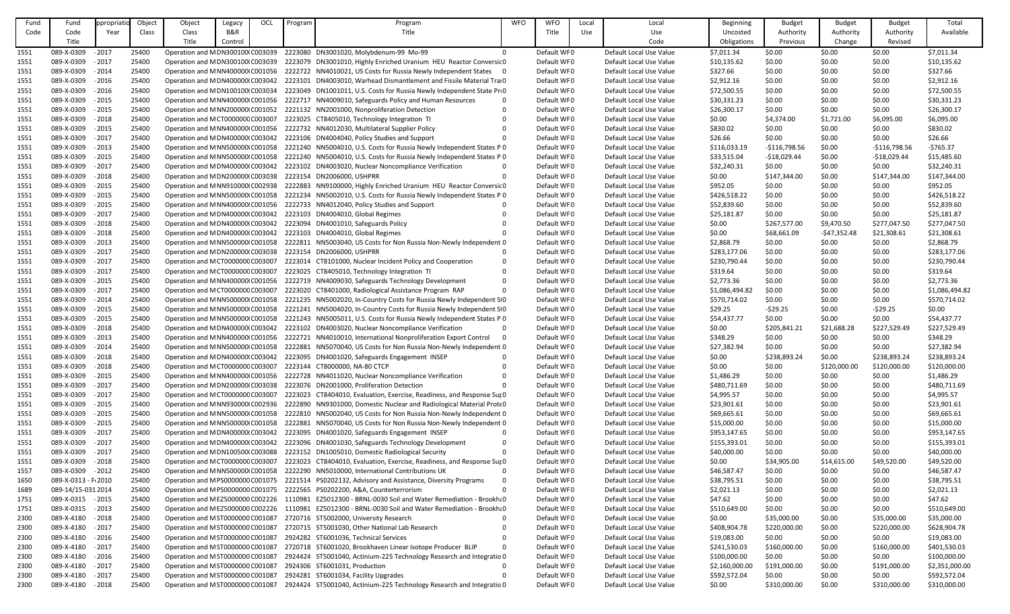| Fund | Fund                 | ppropriat | Object       | Object                            | Legacy         | OCL | Program | Program                                                                                              | <b>WFO</b> | <b>WFO</b>  | Local      | Local                   | <b>Beginning</b> | <b>Budget</b>  | <b>Budget</b> | <b>Budget</b>  | Total          |
|------|----------------------|-----------|--------------|-----------------------------------|----------------|-----|---------|------------------------------------------------------------------------------------------------------|------------|-------------|------------|-------------------------|------------------|----------------|---------------|----------------|----------------|
| Code | Code                 | Year      | <b>Class</b> | Class                             | <b>B&amp;R</b> |     |         | Title                                                                                                |            | Title       | <b>Use</b> | Use                     | Uncosted         | Authority      | Authority     | Authority      | Available      |
|      | Title                |           |              | Title                             | Control        |     |         |                                                                                                      |            |             |            | Code                    | Obligations      | Previous       | Change        | Revised        |                |
| 1551 | 089-X-0309           | $-2017$   | 25400        | Operation and MDN300100(C003039   |                |     |         | 2223080 DN3001020, Molybdenum-99 Mo-99                                                               |            | Default WF0 |            | Default Local Use Value | \$7,011.34       | \$0.00         | \$0.00        | \$0.00         | \$7,011.34     |
| 1551 | 089-X-0309           | $-2017$   | 25400        | Operation and M DN300100(C003039  |                |     |         | 2223079 DN3001010, Highly Enriched Uranium HEU Reactor Conversic 0                                   |            | Default WF0 |            | Default Local Use Value | \$10,135.62      | \$0.00         | \$0.00        | \$0.00         | \$10,135.62    |
| 1551 | 089-X-0309           | $-2014$   | 25400        | Operation and M NN400000 C001056  |                |     |         | 2222722 NN4010021, US Costs for Russia Newly Independent States 0                                    |            | Default WF0 |            | Default Local Use Value | \$327.66         | \$0.00         | \$0.00        | \$0.00         | \$327.66       |
| 1551 | 089-X-0309           | $-2016$   | 25400        | Operation and MDN400000 C003042   |                |     |         | 2223101 DN4003010, Warhead Dismantlement and Fissile Material Trai0                                  |            | Default WF0 |            | Default Local Use Value | \$2,912.16       | \$0.00         | \$0.00        | \$0.00         | \$2,912.16     |
| 1551 | 089-X-0309           | $-2016$   | 25400        | Operation and MDN100100(C003034   |                |     |         | 2223049 DN1001011, U.S. Costs for Russia Newly Independent State Pro                                 |            | Default WF0 |            | Default Local Use Value | \$72,500.55      | \$0.00         | \$0.00        | \$0.00         | \$72,500.55    |
| 1551 | 089-X-0309           | $-2015$   | 25400        | Operation and M NN400000 C001056  |                |     |         | 2222717 NN4009010, Safeguards Policy and Human Resources                                             |            | Default WF0 |            | Default Local Use Value | \$30,331.23      | \$0.00         | \$0.00        | \$0.00         | \$30,331.23    |
| 1551 | 089-X-0309           | $-2015$   | 25400        | Operation and MNN2000000 C001052  |                |     |         | 2221132 NN2001000, Nonproliferation Detection                                                        |            | Default WF0 |            | Default Local Use Value | \$26,300.17      | \$0.00         | \$0.00        | \$0.00         | \$26,300.17    |
| 1551 | 089-X-0309           | $-2018$   | 25400        | Operation and MCT000000CC003007   |                |     |         | 2223025 CT8405010, Technology Integration TI                                                         |            | Default WF0 |            | Default Local Use Value | \$0.00           | \$4,374.00     | \$1,721.00    | \$6,095.00     | \$6,095.00     |
| 1551 | 089-X-0309           | $-2015$   | 25400        | Operation and M NN400000 C001056  |                |     |         | 2222732 NN4012030, Multilateral Supplier Policy                                                      |            | Default WF0 |            | Default Local Use Value | \$830.02         | \$0.00         | \$0.00        | \$0.00         | \$830.02       |
| 1551 | 089-X-0309           | $-2017$   | 25400        | Operation and M DN400000 C003042  |                |     |         | 2223106 DN4004040, Policy Studies and Support                                                        |            | Default WF0 |            | Default Local Use Value | \$26.66          | \$0.00         | \$0.00        | \$0.00         | \$26.66        |
| 1551 | 089-X-0309           | $-2013$   | 25400        | Operation and M NN500000 C001058  |                |     |         | 2221240 NN5004010, U.S. Costs for Russia Newly Independent States P 0                                |            | Default WF0 |            | Default Local Use Value | \$116,033.19     | $-$116,798.56$ | \$0.00        | $-$116,798.56$ | $-5765.37$     |
| 1551 | 089-X-0309           | $-2015$   | 25400        | Operation and M NN500000 C001058  |                |     |         | 2221240 NN5004010, U.S. Costs for Russia Newly Independent States P 0                                |            | Default WF0 |            | Default Local Use Value | \$33,515.04      | $-$18,029.44$  | \$0.00        | $-$18,029.44$  | \$15,485.60    |
| 1551 | 089-X-0309           | $-2017$   | 25400        | Operation and M DN400000 C003042  |                |     |         | 2223102 DN4003020, Nuclear Noncompliance Verification                                                |            | Default WF0 |            | Default Local Use Value | \$32,240.31      | \$0.00         | \$0.00        | \$0.00         | \$32,240.31    |
| 1551 | 089-X-0309           | $-2018$   | 25400        | Operation and MDN2000001C003038   |                |     |         | 2223154 DN2006000, USHPRR                                                                            |            | Default WF0 |            | Default Local Use Value | \$0.00           | \$147,344.00   | \$0.00        | \$147,344.00   | \$147,344.00   |
| 1551 | 089-X-0309           | $-2015$   | 25400        | Operation and M NN910000 C002938  |                |     |         | 2222883 NN9100000, Highly Enriched Uranium HEU Reactor Conversic 0                                   |            | Default WF0 |            | Default Local Use Value | \$952.05         | \$0.00         | \$0.00        | \$0.00         | \$952.05       |
| 1551 | 089-X-0309           | $-2015$   | 25400        | Operation and M NN500000 C001058  |                |     |         | 2221234 NN5002010, U.S. Costs for Russia Newly Independent States P 0                                |            | Default WF0 |            | Default Local Use Value | \$426,518.22     | \$0.00         | \$0.00        | \$0.00         | \$426,518.22   |
| 1551 | 089-X-0309           | $-2015$   | 25400        | Operation and M NN400000 C001056  |                |     |         | 2222733 NN4012040, Policy Studies and Support                                                        |            | Default WF0 |            | Default Local Use Value | \$52,839.60      | \$0.00         | \$0.00        | \$0.00         | \$52,839.60    |
| 1551 | 089-X-0309           | $-2017$   | 25400        | Operation and M DN400000 C003042  |                |     |         | 2223103 DN4004010, Global Regimes                                                                    |            | Default WF0 |            | Default Local Use Value | \$25,181.87      | \$0.00         | \$0.00        | \$0.00         | \$25,181.87    |
| 1551 | 089-X-0309           | $-2018$   | 25400        | Operation and M DN400000 C003042  |                |     |         | 2223094 DN4001010, Safeguards Policy                                                                 |            | Default WF0 |            | Default Local Use Value | \$0.00           | \$267,577.00   | \$9,470.50    | \$277,047.50   | \$277,047.50   |
| 1551 | 089-X-0309           | $-2018$   | 25400        | Operation and M DN400000 C003042  |                |     |         | 2223103 DN4004010, Global Regimes                                                                    |            | Default WF0 |            | Default Local Use Value | \$0.00           | \$68,661.09    | $-547,352.48$ | \$21,308.61    | \$21,308.61    |
| 1551 | 089-X-0309           | $-2013$   | 25400        | Operation and M NN500000 C001058  |                |     |         | 2222811 NN5003040, US Costs for Non Russia Non-Newly Independent 0                                   |            | Default WF0 |            | Default Local Use Value | \$2,868.79       | \$0.00         | \$0.00        | \$0.00         | \$2,868.79     |
| 1551 | 089-X-0309           | $-2017$   | 25400        | Operation and MDN2000001C003038   |                |     |         | 2223154 DN2006000, USHPRR                                                                            |            | Default WF0 |            | Default Local Use Value | \$283,177.06     | \$0.00         | \$0.00        | \$0.00         | \$283,177.06   |
| 1551 | 089-X-0309           | $-2017$   | 25400        | Operation and MCT000000CC003007   |                |     |         | 2223014 CT8101000, Nuclear Incident Policy and Cooperation                                           |            | Default WF0 |            | Default Local Use Value | \$230,790.44     | \$0.00         | \$0.00        | \$0.00         | \$230,790.44   |
| 1551 | 089-X-0309           | $-2017$   | 25400        | Operation and MCT000000CC003007   |                |     |         | 2223025 CT8405010, Technology Integration TI                                                         |            | Default WF0 |            | Default Local Use Value | \$319.64         | \$0.00         | \$0.00        | \$0.00         | \$319.64       |
| 1551 | 089-X-0309           | $-2015$   | 25400        | Operation and M NN400000 C001056  |                |     |         | 2222719 NN4009030, Safeguards Technology Development                                                 |            | Default WF0 |            | Default Local Use Value | \$2,773.36       | \$0.00         | \$0.00        | \$0.00         | \$2,773.36     |
| 1551 | 089-X-0309           | $-2017$   | 25400        | Operation and MCT000000CC003007   |                |     |         | 2223020 CT8401000, Radiological Assistance Program RAP                                               |            | Default WF0 |            | Default Local Use Value | \$1,086,494.82   | \$0.00         | \$0.00        | \$0.00         | \$1,086,494.82 |
| 1551 | 089-X-0309           | $-2014$   | 25400        | Operation and MNN5000000 C001058  |                |     |         | 2221235 NN5002020, In-Country Costs for Russia Newly Independent SO                                  |            | Default WF0 |            | Default Local Use Value | \$570,714.02     | \$0.00         | \$0.00        | \$0.00         | \$570,714.02   |
| 1551 | 089-X-0309           | $-2015$   | 25400        | Operation and M NN500000 C001058  |                |     |         | 2221241 NN5004020, In-Country Costs for Russia Newly Independent SO                                  |            | Default WF0 |            | Default Local Use Value | \$29.25          | $-529.25$      | \$0.00        | $-529.25$      | \$0.00         |
| 1551 | 089-X-0309 - 2015    |           | 25400        |                                   |                |     |         | Operation and MNN5000001C001058 2221243 NN5005011, U.S. Costs for Russia Newly Independent States PO |            | Default WF0 |            | Default Local Use Value | \$54,437.77      | \$0.00         | \$0.00        | \$0.00         | \$54,437.77    |
| 1551 | 089-X-0309           | $-2018$   | 25400        | Operation and M DN400000 C003042  |                |     |         | 2223102 DN4003020, Nuclear Noncompliance Verification                                                |            | Default WF0 |            | Default Local Use Value | \$0.00           | \$205,841.21   | \$21,688.28   | \$227,529.49   | \$227,529.49   |
| 1551 | 089-X-0309           | $-2013$   | 25400        | Operation and M NN400000 C001056  |                |     |         | 2222721 NN4010010, International Nonproliferation Export Control                                     |            | Default WF0 |            | Default Local Use Value | \$348.29         | \$0.00         | \$0.00        | \$0.00         | \$348.29       |
| 1551 | 089-X-0309           | $-2014$   | 25400        | Operation and MNN5000000 C001058  |                |     |         | 2222881 NN5070040, US Costs for Non Russia Non-Newly Independent 0                                   |            | Default WF0 |            | Default Local Use Value | \$27,382.94      | \$0.00         | \$0.00        | \$0.00         | \$27,382.94    |
| 1551 | 089-X-0309           | $-2018$   | 25400        | Operation and M DN400000 C003042  |                |     |         | 2223095 DN4001020, Safeguards Engagement INSEP                                                       |            | Default WF0 |            | Default Local Use Value | \$0.00           | \$238,893.24   | \$0.00        | \$238,893.24   | \$238,893.24   |
| 1551 | 089-X-0309           | $-2018$   | 25400        | Operation and MCT000000CC003007   |                |     |         | 2223144 CT8000000, NA-80 CTCP                                                                        |            | Default WF0 |            | Default Local Use Value | \$0.00           | \$0.00         | \$120,000.00  | \$120,000.00   | \$120,000.00   |
| 1551 | 089-X-0309           | $-2015$   | 25400        | Operation and MNN400000 C001056   |                |     |         | 2222728 NN4011020, Nuclear Noncompliance Verification                                                |            | Default WF0 |            | Default Local Use Value | \$1,486.29       | \$0.00         | \$0.00        | \$0.00         | \$1,486.29     |
| 1551 | 089-X-0309           | $-2017$   | 25400        | Operation and MDN2000001C003038   |                |     |         | 2223076 DN2001000, Proliferation Detection                                                           |            | Default WF0 |            | Default Local Use Value | \$480,711.69     | \$0.00         | \$0.00        | \$0.00         | \$480,711.69   |
| 1551 | 089-X-0309           | $-2017$   | 25400        | Operation and MCT000000CC003007   |                |     |         | 2223023 CT8404010, Evaluation, Exercise, Readiness, and Response Sur 0                               |            | Default WF0 |            | Default Local Use Value | \$4,995.57       | \$0.00         | \$0.00        | \$0.00         | \$4,995.57     |
| 1551 | 089-X-0309           | $-2015$   | 25400        | Operation and MNN930000 C002936   |                |     |         | 2222890 NN9301000, Domestic Nuclear and Radiological Material Prote 0                                |            | Default WF0 |            | Default Local Use Value | \$23,901.61      | \$0.00         | \$0.00        | \$0.00         | \$23,901.61    |
| 1551 | 089-X-0309           | $-2015$   | 25400        | Operation and MNN5000000 C001058  |                |     |         | 2222810 NN5002040, US Costs for Non Russia Non-Newly Independent 0                                   |            | Default WF0 |            | Default Local Use Value | \$69,665.61      | \$0.00         | \$0.00        | \$0.00         | \$69,665.61    |
| 1551 | 089-X-0309           | $-2015$   | 25400        | Operation and M NN500000 C001058  |                |     |         | 2222881 NN5070040, US Costs for Non Russia Non-Newly Independent 0                                   |            | Default WF0 |            | Default Local Use Value | \$15,000.00      | \$0.00         | \$0.00        | \$0.00         | \$15,000.00    |
| 1551 | 089-X-0309           | $-2017$   | 25400        | Operation and M DN400000 C003042  |                |     |         | 2223095 DN4001020, Safeguards Engagement INSEP                                                       |            | Default WF0 |            | Default Local Use Value | \$953,147.65     | \$0.00         | \$0.00        | \$0.00         | \$953,147.65   |
| 1551 | 089-X-0309           | $-2017$   | 25400        | Operation and M DN400000 C003042  |                |     |         | 2223096 DN4001030, Safeguards Technology Development                                                 |            | Default WF0 |            | Default Local Use Value | \$155,393.01     | \$0.00         | \$0.00        | \$0.00         | \$155,393.01   |
| 1551 | 089-X-0309           | $-2017$   | 25400        | Operation and MDN100500(C003088   |                |     |         | 2223152 DN1005010, Domestic Radiological Security                                                    |            | Default WF0 |            | Default Local Use Value | \$40,000.00      | \$0.00         | \$0.00        | \$0.00         | \$40,000.00    |
| 1551 | 089-X-0309           | $-2018$   | 25400        | Operation and MCT000000CC003007   |                |     |         | 2223023 CT8404010, Evaluation, Exercise, Readiness, and Response Sur 0                               |            | Default WF0 |            | Default Local Use Value | \$0.00           | \$34,905.00    | \$14,615.00   | \$49,520.00    | \$49,520.00    |
| 1557 | 089-X-0309           | $-2012$   | 25400        | Operation and M NN500000 C001058  |                |     |         | 2222290 NN5010000, International Contributions UK                                                    |            | Default WF0 |            | Default Local Use Value | \$46,587.47      | \$0.00         | \$0.00        | \$0.00         | \$46,587.47    |
| 1650 | 089-X-0313 - F: 2010 |           | 25400        | Operation and MPS0000000C001075   |                |     |         | 2221514 PS0202132, Advisory and Assistance, Diversity Programs                                       |            | Default WF0 |            | Default Local Use Value | \$38,795.51      | \$0.00         | \$0.00        | \$0.00         | \$38,795.51    |
| 1689 | 089-14/15-031 2014   |           | 25400        | Operation and M PS0000000 C001075 |                |     |         | 2222565 PS0202200, A&A, Counterterrorism                                                             |            | Default WF0 |            | Default Local Use Value | \$2,021.13       | \$0.00         | \$0.00        | \$0.00         | \$2,021.13     |
| 1751 | 089-X-0315 - 2015    |           | 25400        | Operation and MEZ5000000 C002226  |                |     |         | 1110981 EZ5012300 - BRNL-0030 Soil and Water Remediation - Brookha0                                  |            | Default WF0 |            | Default Local Use Value | \$47.62          | \$0.00         | \$0.00        | \$0.00         | \$47.62        |
| 1751 | 089-X-0315           | $-2013$   | 25400        | Operation and MEZ5000000 C002226  |                |     | 1110981 | EZ5012300 - BRNL-0030 Soil and Water Remediation - Brookh? 0                                         |            | Default WF0 |            | Default Local Use Value | \$510,649.00     | \$0.00         | \$0.00        | \$0.00         | \$510,649.00   |
| 2300 | 089-X-4180           | $-2018$   | 25400        | Operation and MST0000000 C001087  |                |     |         | 2720716 ST5002000, University Research                                                               |            | Default WF0 |            | Default Local Use Value | \$0.00           | \$35,000.00    | \$0.00        | \$35,000.00    | \$35,000.00    |
| 2300 | 089-X-4180 - 2017    |           | 25400        | Operation and MST0000000 C001087  |                |     |         | 2720715 ST5001030, Other National Lab Research                                                       |            | Default WF0 |            | Default Local Use Value | \$408,904.78     | \$220,000.00   | \$0.00        | \$220,000.00   | \$628,904.78   |
| 2300 | 089-X-4180           | $-2016$   | 25400        | Operation and MST0000000 C001087  |                |     |         | 2924282 ST6001036, Technical Services                                                                |            | Default WF0 |            | Default Local Use Value | \$19,083.00      | \$0.00         | \$0.00        | \$0.00         | \$19,083.00    |
| 2300 | 089-X-4180           | $-2017$   | 25400        | Operation and MST0000000 C001087  |                |     |         | 2720718 ST6001020, Brookhaven Linear Isotope Producer BLIP                                           |            | Default WF0 |            | Default Local Use Value | \$241,530.03     | \$160,000.00   | \$0.00        | \$160,000.00   | \$401,530.03   |
| 2300 | 089-X-4180           | $-2016$   | 25400        | Operation and MST0000000 C001087  |                |     |         | 2924424 ST5001040, Actinium-225 Technology Research and Integratio 0                                 |            | Default WF0 |            | Default Local Use Value | \$100,000.00     | \$0.00         | \$0.00        | \$0.00         | \$100,000.00   |
| 2300 | 089-X-4180           | $-2017$   | 25400        | Operation and MST0000000 C001087  |                |     |         | 2924306 ST6001031, Production                                                                        |            | Default WF0 |            | Default Local Use Value | \$2,160,000.00   | \$191,000.00   | \$0.00        | \$191,000.00   | \$2,351,000.00 |
| 2300 | 089-X-4180           | $-2017$   | 25400        | Operation and MST0000000 C001087  |                |     |         | 2924281 ST6001034, Facility Upgrades                                                                 |            | Default WF0 |            | Default Local Use Value | \$592,572.04     | \$0.00         | \$0.00        | \$0.00         | \$592,572.04   |
| 2300 | 089-X-4180           | $-2018$   | 25400        | Operation and MST0000000 C001087  |                |     |         | 2924424 ST5001040, Actinium-225 Technology Research and Integratio 0                                 |            | Default WF0 |            | Default Local Use Value | \$0.00           | \$310,000.00   | \$0.00        | \$310,000.00   | \$310,000.00   |
|      |                      |           |              |                                   |                |     |         |                                                                                                      |            |             |            |                         |                  |                |               |                |                |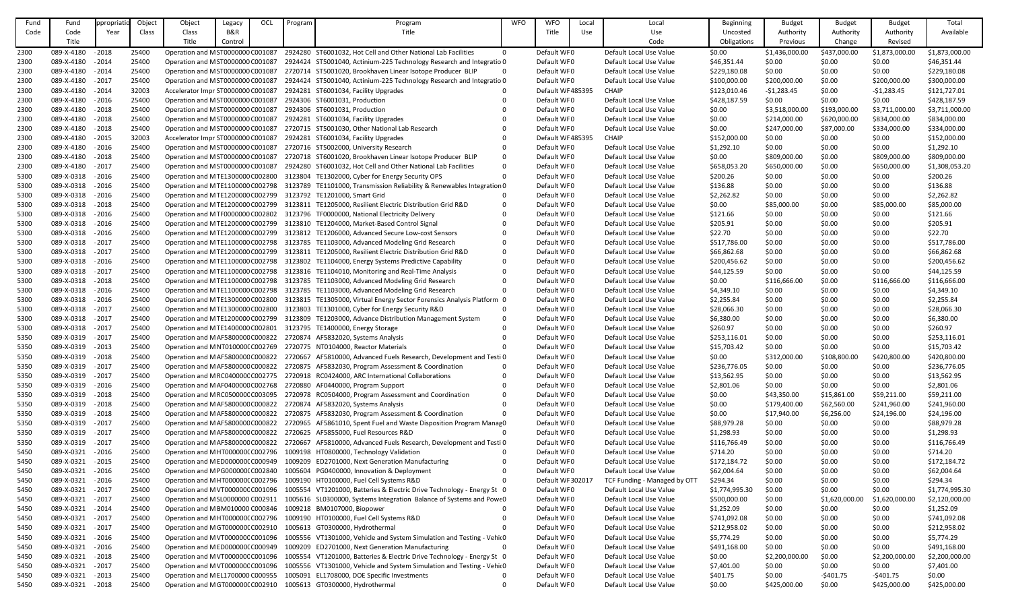| Fund | Fund              | ppropriati | Object | Object                             | Legacy  | OCL | Program | Program                                                                                    | <b>WFO</b>     | <b>WFO</b>        | Local | Local                        | <b>Beginning</b> | <b>Budget</b>  | <b>Budget</b>  | <b>Budget</b>  | Total          |
|------|-------------------|------------|--------|------------------------------------|---------|-----|---------|--------------------------------------------------------------------------------------------|----------------|-------------------|-------|------------------------------|------------------|----------------|----------------|----------------|----------------|
| Code | Code              | Year       | Class  | Class                              | B&R     |     |         | Title                                                                                      |                | Title             | Use   | Use                          | Uncosted         | Authority      | Authority      | Authority      | Available      |
|      | Title             |            |        | Title                              | Control |     |         |                                                                                            |                |                   |       | Code                         | Obligations      | Previous       | Change         | Revised        |                |
| 2300 | 089-X-4180        | $-2018$    | 25400  | Operation and M ST0000000 C001087  |         |     |         | 2924280 ST6001032, Hot Cell and Other National Lab Facilities                              | $\overline{0}$ | Default WF0       |       | Default Local Use Value      | \$0.00           | \$1,436,000.00 | \$437,000.00   | \$1,873,000.00 | \$1,873,000.00 |
| 2300 | 089-X-4180        | $-2014$    | 25400  | Operation and MST0000000 C001087   |         |     |         | 2924424 ST5001040, Actinium-225 Technology Research and Integratio 0                       |                | Default WF0       |       | Default Local Use Value      | \$46,351.44      | \$0.00         | \$0.00         | \$0.00         | \$46,351.44    |
|      | 089-X-4180        | $-2014$    | 25400  |                                    |         |     |         | 2720714 ST5001020, Brookhaven Linear Isotope Producer BLIP                                 |                | Default WF0       |       | Default Local Use Value      |                  | \$0.00         |                |                | \$229,180.08   |
| 2300 |                   |            |        | Operation and MST0000000 C001087   |         |     |         |                                                                                            |                |                   |       |                              | \$229,180.08     |                | \$0.00         | \$0.00         |                |
| 2300 | 089-X-4180        | $-2017$    | 25400  | Operation and MST0000000 C001087   |         |     |         | 2924424 ST5001040, Actinium-225 Technology Research and Integratio 0                       |                | Default WF0       |       | Default Local Use Value      | \$100,000.00     | \$200,000.00   | \$0.00         | \$200,000.00   | \$300,000.00   |
| 2300 | 089-X-4180        | $-2014$    | 32003  | Accelerator Impr ST0000000 C001087 |         |     |         | 2924281 ST6001034, Facility Upgrades                                                       |                | Default WF 485395 |       | <b>CHAIP</b>                 | \$123,010.46     | $-51,283.45$   | \$0.00         | $-51,283.45$   | \$121,727.01   |
| 2300 | 089-X-4180        | $-2016$    | 25400  | Operation and MST0000000 C001087   |         |     |         | 2924306 ST6001031, Production                                                              |                | Default WF0       |       | Default Local Use Value      | \$428,187.59     | \$0.00         | \$0.00         | \$0.00         | \$428,187.59   |
| 2300 | 089-X-4180        | $-2018$    | 25400  | Operation and MST0000000 C001087   |         |     |         | 2924306 ST6001031, Production                                                              |                | Default WF0       |       | Default Local Use Value      | \$0.00           | \$3,518,000.00 | \$193,000.00   | \$3,711,000.00 | \$3,711,000.00 |
| 2300 | 089-X-4180        | $-2018$    | 25400  | Operation and MST0000000 C001087   |         |     |         | 2924281 ST6001034, Facility Upgrades                                                       |                | Default WF0       |       | Default Local Use Value      | \$0.00           | \$214,000.00   | \$620,000.00   | \$834,000.00   | \$834,000.00   |
| 2300 | 089-X-4180        | $-2018$    | 25400  | Operation and MST0000000 C001087   |         |     |         | 2720715 ST5001030, Other National Lab Research                                             |                | Default WF0       |       | Default Local Use Value      | \$0.00           | \$247,000.00   | \$87,000.00    | \$334,000.00   | \$334,000.00   |
| 2300 | 089-X-4180        | $-2015$    | 32003  | Accelerator Impr ST0000000 C001087 |         |     |         | 2924281 ST6001034, Facility Upgrades                                                       |                | Default WF485395  |       | <b>CHAIP</b>                 | \$152,000.00     | \$0.00         | \$0.00         | \$0.00         | \$152,000.00   |
| 2300 | 089-X-4180        | $-2016$    | 25400  | Operation and MST0000000 C001087   |         |     |         | 2720716 ST5002000, University Research                                                     |                | Default WF0       |       | Default Local Use Value      | \$1,292.10       | \$0.00         | \$0.00         | \$0.00         | \$1,292.10     |
| 2300 | 089-X-4180        | $-2018$    | 25400  | Operation and MST0000000 C001087   |         |     |         | 2720718 ST6001020, Brookhaven Linear Isotope Producer BLIP                                 |                | Default WF0       |       | Default Local Use Value      | \$0.00           | \$809,000.00   | \$0.00         | \$809,000.00   | \$809,000.00   |
| 2300 | 089-X-4180        | $-2017$    | 25400  | Operation and MST0000000 C001087   |         |     |         | 2924280 ST6001032, Hot Cell and Other National Lab Facilities                              | - 0            | Default WF0       |       | Default Local Use Value      | \$658,053.20     | \$650,000.00   | \$0.00         | \$650,000.00   | \$1,308,053.20 |
| 5300 | 089-X-0318        | $-2016$    | 25400  | Operation and MTE1300000 C002800   |         |     |         | 3123804 TE1302000, Cyber for Energy Security OPS                                           |                | Default WF0       |       | Default Local Use Value      | \$200.26         | \$0.00         | \$0.00         | \$0.00         | \$200.26       |
| 5300 | 089-X-0318        | $-2016$    | 25400  | Operation and MTE1100000 C002798   |         |     |         | 3123789 TE1101000, Transmission Reliability & Renewables Integration 0                     |                | Default WF0       |       | Default Local Use Value      | \$136.88         | \$0.00         | \$0.00         | \$0.00         | \$136.88       |
| 5300 | 089-X-0318 - 2016 |            | 25400  | Operation and MTE1200000 C002799   |         |     |         | 3123792 TE1201000, Smart Grid                                                              |                | Default WF0       |       | Default Local Use Value      | \$2,262.82       | \$0.00         | \$0.00         | \$0.00         | \$2,262.82     |
| 5300 | 089-X-0318        | $-2018$    | 25400  | Operation and MTE1200000 C002799   |         |     |         | 3123811 TE1205000, Resilient Electric Distribution Grid R&D                                |                | Default WF0       |       | Default Local Use Value      | \$0.00           | \$85,000.00    | \$0.00         | \$85,000.00    | \$85,000.00    |
| 5300 | 089-X-0318        | $-2016$    | 25400  | Operation and MTF0000000 C002802   |         |     |         | 3123796 TF0000000, National Electricity Delivery                                           |                | Default WF0       |       | Default Local Use Value      | \$121.66         | \$0.00         | \$0.00         | \$0.00         | \$121.66       |
| 5300 | 089-X-0318        | $-2016$    | 25400  | Operation and MTE1200000 C002799   |         |     |         | 3123810 TE1204000, Market-Based Control Signal                                             |                | Default WF0       |       | Default Local Use Value      | \$205.91         | \$0.00         | \$0.00         | \$0.00         | \$205.91       |
| 5300 | 089-X-0318        | $-2016$    | 25400  | Operation and MTE1200000 C002799   |         |     |         | 3123812 TE1206000, Advanced Secure Low-cost Sensors                                        |                | Default WF0       |       | Default Local Use Value      | \$22.70          | \$0.00         | \$0.00         | \$0.00         | \$22.70        |
| 5300 | 089-X-0318        | $-2017$    | 25400  | Operation and MTE1100000 C002798   |         |     |         | 3123785 TE1103000, Advanced Modeling Grid Research                                         |                | Default WF0       |       | Default Local Use Value      | \$517,786.00     | \$0.00         | \$0.00         | \$0.00         | \$517,786.00   |
| 5300 | 089-X-0318        | $-2017$    | 25400  | Operation and MTE1200000 C002799   |         |     |         | 3123811 TE1205000, Resilient Electric Distribution Grid R&D                                |                | Default WF0       |       | Default Local Use Value      | \$66,862.68      | \$0.00         | \$0.00         | \$0.00         | \$66,862.68    |
| 5300 | 089-X-0318        | $-2016$    | 25400  | Operation and MTE1100000 C002798   |         |     |         | 3123802 TE1104000, Energy Systems Predictive Capability                                    |                | Default WF0       |       | Default Local Use Value      | \$200,456.62     | \$0.00         | \$0.00         | \$0.00         | \$200,456.62   |
| 5300 | 089-X-0318 - 2017 |            | 25400  | Operation and MTE1100000 C002798   |         |     |         | 3123816 TE1104010, Monitoring and Real-Time Analysis                                       |                | Default WF0       |       | Default Local Use Value      | \$44,125.59      | \$0.00         | \$0.00         | \$0.00         | \$44,125.59    |
| 5300 | 089-X-0318 - 2018 |            | 25400  | Operation and MTE1100000 C002798   |         |     |         | 3123785 TE1103000, Advanced Modeling Grid Research                                         |                | Default WF0       |       | Default Local Use Value      | \$0.00           | \$116,666.00   | \$0.00         | \$116,666.00   | \$116,666.00   |
| 5300 | 089-X-0318        | $-2016$    | 25400  | Operation and MTE1100000 C002798   |         |     |         | 3123785 TE1103000, Advanced Modeling Grid Research                                         |                | Default WF0       |       | Default Local Use Value      | \$4,349.10       | \$0.00         | \$0.00         | \$0.00         | \$4,349.10     |
| 5300 | 089-X-0318        | $-2016$    | 25400  | Operation and MTE1300000 C002800   |         |     |         | 3123815 TE1305000, Virtual Energy Sector Forensics Analysis Platform 0                     |                | Default WF0       |       | Default Local Use Value      | \$2,255.84       | \$0.00         | \$0.00         | \$0.00         | \$2,255.84     |
|      | 089-X-0318        | $-2017$    | 25400  |                                    |         |     |         | 3123803 TE1301000, Cyber for Energy Security R&D                                           |                | Default WF0       |       | Default Local Use Value      | \$28,066.30      |                | \$0.00         | \$0.00         |                |
| 5300 |                   |            |        | Operation and MTE1300000 C002800   |         |     |         |                                                                                            |                |                   |       |                              |                  | \$0.00         |                |                | \$28,066.30    |
| 5300 | 089-X-0318 - 2017 |            | 25400  |                                    |         |     |         | Operation and MTE1200000 C002799 3123809 TE1203000, Advance Distribution Management System |                | Default WF0       |       | Default Local Use Value      | \$6,380.00       | \$0.00         | \$0.00         | \$0.00         | \$6,380.00     |
| 5300 | 089-X-0318 - 2017 |            | 25400  | Operation and MTE1400000 C002801   |         |     |         | 3123795 TE1400000, Energy Storage                                                          |                | Default WF0       |       | Default Local Use Value      | \$260.97         | \$0.00         | \$0.00         | \$0.00         | \$260.97       |
| 5350 | 089-X-0319        | $-2017$    | 25400  | Operation and MAF580000CC000822    |         |     |         | 2720874 AF5832020, Systems Analysis                                                        |                | Default WF0       |       | Default Local Use Value      | \$253,116.01     | \$0.00         | \$0.00         | \$0.00         | \$253,116.01   |
| 5350 | 089-X-0319        | $-2013$    | 25400  | Operation and MNT0100000 C002769   |         |     |         | 2720775 NT0104000, Reactor Materials                                                       |                | Default WF0       |       | Default Local Use Value      | \$15,703.42      | \$0.00         | \$0.00         | \$0.00         | \$15,703.42    |
| 5350 | 089-X-0319 - 2018 |            | 25400  | Operation and MAF580000CC000822    |         |     |         | 2720667 AF5810000, Advanced Fuels Research, Development and Testi 0                        |                | Default WF0       |       | Default Local Use Value      | \$0.00           | \$312,000.00   | \$108,800.00   | \$420,800.00   | \$420,800.00   |
| 5350 | 089-X-0319        | $-2017$    | 25400  | Operation and MAF580000CC000822    |         |     |         | 2720875 AF5832030, Program Assessment & Coordination                                       | - 0            | Default WF0       |       | Default Local Use Value      | \$236,776.05     | \$0.00         | \$0.00         | \$0.00         | \$236,776.05   |
| 5350 | 089-X-0319        | $-2017$    | 25400  | Operation and MRC040000CC002775    |         |     |         | 2720918 RC0424000, ARC International Collaborations                                        |                | Default WF0       |       | Default Local Use Value      | \$13,562.95      | \$0.00         | \$0.00         | \$0.00         | \$13,562.95    |
| 5350 | 089-X-0319        | $-2016$    | 25400  | Operation and MAF040000CC002768    |         |     |         | 2720880 AF0440000, Program Support                                                         |                | Default WF0       |       | Default Local Use Value      | \$2,801.06       | \$0.00         | \$0.00         | \$0.00         | \$2,801.06     |
| 5350 | 089-X-0319        | $-2018$    | 25400  | Operation and MRC050000CC003095    |         |     |         | 2720978 RC0504000, Program Assessment and Coordination                                     |                | Default WF0       |       | Default Local Use Value      | \$0.00           | \$43,350.00    | \$15,861.00    | \$59,211.00    | \$59,211.00    |
| 5350 | 089-X-0319 - 2018 |            | 25400  | Operation and MAF580000CC000822    |         |     | 2720874 | AF5832020, Systems Analysis                                                                |                | Default WF0       |       | Default Local Use Value      | \$0.00           | \$179,400.00   | \$62,560.00    | \$241,960.00   | \$241,960.00   |
| 5350 | 089-X-0319        | $-2018$    | 25400  | Operation and MAF580000CC000822    |         |     |         | 2720875 AF5832030, Program Assessment & Coordination                                       |                | Default WF0       |       | Default Local Use Value      | \$0.00           | \$17,940.00    | \$6,256.00     | \$24,196.00    | \$24,196.00    |
| 5350 | 089-X-0319        | $-2017$    | 25400  | Operation and MAF580000CC000822    |         |     |         | 2720965 AF5861010, Spent Fuel and Waste Disposition Program Manag 0                        |                | Default WF0       |       | Default Local Use Value      | \$88,979.28      | \$0.00         | \$0.00         | \$0.00         | \$88,979.28    |
| 5350 | 089-X-0319        | $-2017$    | 25400  | Operation and MAF580000CC000822    |         |     |         | 2720625 AF5855000, Fuel Resources R&D                                                      |                | Default WF0       |       | Default Local Use Value      | \$1,298.93       | \$0.00         | \$0.00         | \$0.00         | \$1,298.93     |
| 5350 | 089-X-0319        | $-2017$    | 25400  | Operation and MAF580000CC000822    |         |     | 2720667 | AF5810000, Advanced Fuels Research, Development and Testi 0                                |                | Default WF0       |       | Default Local Use Value      | \$116,766.49     | \$0.00         | \$0.00         | \$0.00         | \$116,766.49   |
| 5450 | 089-X-0321        | $-2016$    | 25400  | Operation and MHT0000000 C002796   |         |     |         | 1009198 HT0800000, Technology Validation                                                   |                | Default WF0       |       | Default Local Use Value      | \$714.20         | \$0.00         | \$0.00         | \$0.00         | \$714.20       |
| 5450 | 089-X-0321        | $-2015$    | 25400  | Operation and MED000000CC000949    |         |     |         | 1009209 ED2701000, Next Generation Manufacturing                                           |                | Default WF0       |       | Default Local Use Value      | \$172,184.72     | \$0.00         | \$0.00         | \$0.00         | \$172,184.72   |
| 5450 | 089-X-0321        | $-2016$    | 25400  | Operation and MPG000000(C002840    |         |     | 1005604 | PG0400000, Innovation & Deployment                                                         |                | Default WF0       |       | Default Local Use Value      | \$62,004.64      | \$0.00         | \$0.00         | \$0.00         | \$62,004.64    |
| 5450 | 089-X-0321        | $-2016$    | 25400  | Operation and MHT0000000 C002796   |         |     |         | 1009190 HT0100000, Fuel Cell Systems R&D                                                   |                | Default WF 302017 |       | TCF Funding - Managed by OTT | \$294.34         | \$0.00         | \$0.00         | \$0.00         | \$294.34       |
| 5450 | 089-X-0321        | $-2017$    | 25400  | Operation and MVT000000CC001096    |         |     |         | 1005554 VT1201000, Batteries & Electric Drive Technology - Energy St 0                     |                | Default WF0       |       | Default Local Use Value      | \$1,774,995.30   | \$0.00         | \$0.00         | \$0.00         | \$1,774,995.30 |
| 5450 | 089-X-0321        | $-2017$    | 25400  | Operation and MSL0000000 C002911   |         |     |         | 1005616 SL0300000, Systems Integration Balance of Systems and Powe0                        |                | Default WF0       |       | Default Local Use Value      | \$500,000.00     | \$0.00         | \$1,620,000.00 | \$1,620,000.00 | \$2,120,000.00 |
| 5450 | 089-X-0321 - 2014 |            | 25400  | Operation and M BM010000 C000846   |         |     |         | 1009218 BM0107000, Biopower                                                                |                | Default WF0       |       | Default Local Use Value      | \$1,252.09       | \$0.00         | \$0.00         | \$0.00         | \$1,252.09     |
| 5450 | 089-X-0321        | $-2017$    | 25400  | Operation and M HT0000000 C002796  |         |     |         | 1009190 HT0100000, Fuel Cell Systems R&D                                                   |                | Default WF0       |       | Default Local Use Value      | \$741,092.08     | \$0.00         | \$0.00         | \$0.00         | \$741,092.08   |
| 5450 | 089-X-0321        | $-2017$    | 25400  | Operation and MGT0000000 C002910   |         |     |         | 1005613 GT0300000, Hydrothermal                                                            |                | Default WF0       |       | Default Local Use Value      | \$212,958.02     | \$0.00         | \$0.00         | \$0.00         | \$212,958.02   |
| 5450 | 089-X-0321        | $-2016$    | 25400  | Operation and MVT000000CC001096    |         |     |         | 1005556 VT1301000, Vehicle and System Simulation and Testing - Vehic0                      |                | Default WF0       |       | Default Local Use Value      | \$5,774.29       | \$0.00         | \$0.00         | \$0.00         | \$5,774.29     |
| 5450 | 089-X-0321        | $-2016$    | 25400  | Operation and MED000000CC000949    |         |     |         | 1009209 ED2701000, Next Generation Manufacturing                                           | - 0            | Default WF0       |       | Default Local Use Value      | \$491,168.00     | \$0.00         | \$0.00         | \$0.00         | \$491,168.00   |
| 5450 | 089-X-0321        | $-2018$    | 25400  | Operation and MVT000000CC001096    |         |     |         | 1005554 VT1201000, Batteries & Electric Drive Technology - Energy St 0                     |                | Default WF0       |       | Default Local Use Value      | \$0.00           | \$2,200,000.00 | \$0.00         | \$2,200,000.00 | \$2,200,000.00 |
|      | 089-X-0321        | $-2017$    | 25400  | Operation and MVT000000CC001096    |         |     |         | 1005556 VT1301000, Vehicle and System Simulation and Testing - Vehic0                      |                | Default WF0       |       | Default Local Use Value      |                  |                | \$0.00         | \$0.00         | \$7,401.00     |
| 5450 |                   |            |        |                                    |         |     |         |                                                                                            |                |                   |       |                              | \$7,401.00       | \$0.00         |                |                |                |
| 5450 | 089-X-0321        | $-2013$    | 25400  | Operation and MEL1700000 C000955   |         |     |         | 1005091 EL1708000, DOE Specific Investments                                                |                | Default WF0       |       | Default Local Use Value      | \$401.75         | \$0.00         | $-5401.75$     | $-5401.75$     | \$0.00         |
| 5450 | 089-X-0321        | $-2018$    | 25400  | Operation and MGT0000000 C002910   |         |     |         | 1005613 GT0300000, Hydrothermal                                                            |                | Default WF0       |       | Default Local Use Value      | \$0.00           | \$425,000.00   | \$0.00         | \$425,000.00   | \$425,000.00   |